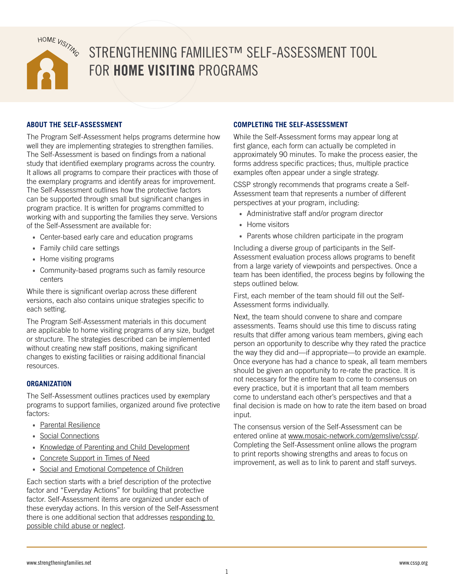

# STRENGTHENING FAMILIES™ SELF-ASSESSMENT TOOL FOR **HOME VISITING** PROGRAMS

## **ABOUT THE SELF-ASSESSMENT**

The Program Self-Assessment helps programs determine how well they are implementing strategies to strengthen families. The Self-Assessment is based on findings from a national study that identified exemplary programs across the country. It allows all programs to compare their practices with those of the exemplary programs and identify areas for improvement. The Self-Assessment outlines how the protective factors can be supported through small but significant changes in program practice. It is written for programs committed to working with and supporting the families they serve. Versions of the Self-Assessment are available for:

- Center-based early care and education programs
- Family child care settings
- Home visiting programs
- Community-based programs such as family resource centers

While there is significant overlap across these different versions, each also contains unique strategies specific to each setting.

The Program Self-Assessment materials in this document are applicable to home visiting programs of any size, budget or structure. The strategies described can be implemented without creating new staff positions, making significant changes to existing facilities or raising additional financial resources.

## **ORGANIZATION**

The Self-Assessment outlines practices used by exemplary programs to support families, organized around five protective factors:

- [Parental Resilience](#page-2-0)
- [Social Connections](#page-13-0)
- [Knowledge of Parenting and Child Development](#page-16-0)
- [Concrete Support in Times of Need](#page-23-0)
- [Social and Emotional Competence of Children](#page-27-0)

Each section starts with a brief description of the protective factor and "Everyday Actions" for building that protective factor. Self-Assessment items are organized under each of these everyday actions. In this version of the Self-Assessment there is one additional section that addresses [responding to](#page-32-0)  [possible child abuse or neglect.](#page-32-0)

#### **COMPLETING THE SELF-ASSESSMENT**

While the Self-Assessment forms may appear long at first glance, each form can actually be completed in approximately 90 minutes. To make the process easier, the forms address specific practices; thus, multiple practice examples often appear under a single strategy.

CSSP strongly recommends that programs create a Self-Assessment team that represents a number of different perspectives at your program, including:

- Administrative staff and/or program director
- Home visitors
- Parents whose children participate in the program

Including a diverse group of participants in the Self-Assessment evaluation process allows programs to benefit from a large variety of viewpoints and perspectives. Once a team has been identified, the process begins by following the steps outlined below.

First, each member of the team should fill out the Self-Assessment forms individually.

Next, the team should convene to share and compare assessments. Teams should use this time to discuss rating results that differ among various team members, giving each person an opportunity to describe why they rated the practice the way they did and—if appropriate—to provide an example. Once everyone has had a chance to speak, all team members should be given an opportunity to re-rate the practice. It is not necessary for the entire team to come to consensus on every practice, but it is important that all team members come to understand each other's perspectives and that a final decision is made on how to rate the item based on broad input.

The consensus version of the Self-Assessment can be entered online at [www.mosaic-network.com/gemslive/cssp/.](http://www.mosaic-network.com/gemslive/cssp/) Completing the Self-Assessment online allows the program to print reports showing strengths and areas to focus on improvement, as well as to link to parent and staff surveys.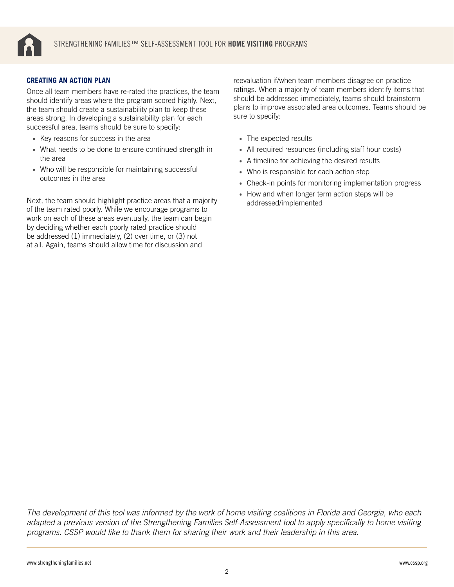

#### **CREATING AN ACTION PLAN**

Once all team members have re-rated the practices, the team should identify areas where the program scored highly. Next, the team should create a sustainability plan to keep these areas strong. In developing a sustainability plan for each successful area, teams should be sure to specify:

- Key reasons for success in the area
- What needs to be done to ensure continued strength in the area
- Who will be responsible for maintaining successful outcomes in the area

Next, the team should highlight practice areas that a majority of the team rated poorly. While we encourage programs to work on each of these areas eventually, the team can begin by deciding whether each poorly rated practice should be addressed (1) immediately, (2) over time, or (3) not at all. Again, teams should allow time for discussion and

reevaluation if/when team members disagree on practice ratings. When a majority of team members identify items that should be addressed immediately, teams should brainstorm plans to improve associated area outcomes. Teams should be sure to specify:

- The expected results
- All required resources (including staff hour costs)
- A timeline for achieving the desired results
- Who is responsible for each action step
- Check-in points for monitoring implementation progress
- How and when longer term action steps will be addressed/implemented

*The development of this tool was informed by the work of home visiting coalitions in Florida and Georgia, who each adapted a previous version of the Strengthening Families Self-Assessment tool to apply specifically to home visiting programs. CSSP would like to thank them for sharing their work and their leadership in this area.*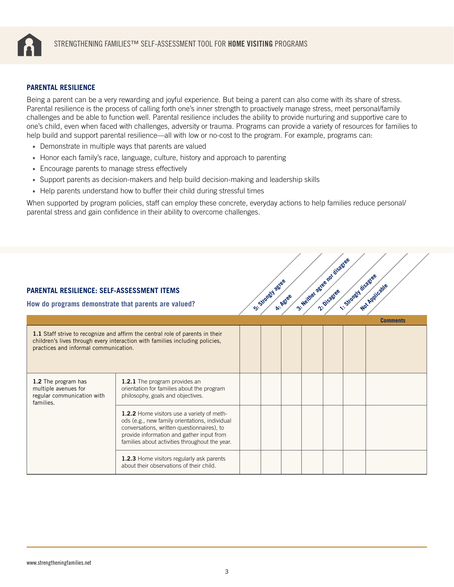<span id="page-2-0"></span>

#### **PARENTAL RESILIENCE**

Being a parent can be a very rewarding and joyful experience. But being a parent can also come with its share of stress. Parental resilience is the process of calling forth one's inner strength to proactively manage stress, meet personal/family challenges and be able to function well. Parental resilience includes the ability to provide nurturing and supportive care to one's child, even when faced with challenges, adversity or trauma. Programs can provide a variety of resources for families to help build and support parental resilience—all with low or no-cost to the program. For example, programs can:

- Demonstrate in multiple ways that parents are valued
- Honor each family's race, language, culture, history and approach to parenting
- Encourage parents to manage stress effectively
- Support parents as decision-makers and help build decision-making and leadership skills
- Help parents understand how to buffer their child during stressful times

When supported by program policies, staff can employ these concrete, everyday actions to help families reduce personal/ parental stress and gain confidence in their ability to overcome challenges.

| St. Neither ages not disagree<br>1. Strongth disastee<br>St. Strongly agree<br>Not Applicable<br><b>PARENTAL RESILIENCE: SELF-ASSESSMENT ITEMS</b><br>A: Agree<br>How do programs demonstrate that parents are valued? |                                                                                                                                                                                                                                           |  |  |  |  |  |  |                 |  |  |
|------------------------------------------------------------------------------------------------------------------------------------------------------------------------------------------------------------------------|-------------------------------------------------------------------------------------------------------------------------------------------------------------------------------------------------------------------------------------------|--|--|--|--|--|--|-----------------|--|--|
|                                                                                                                                                                                                                        |                                                                                                                                                                                                                                           |  |  |  |  |  |  | <b>Comments</b> |  |  |
| practices and informal communication.                                                                                                                                                                                  | 1.1 Staff strive to recognize and affirm the central role of parents in their<br>children's lives through every interaction with families including policies,                                                                             |  |  |  |  |  |  |                 |  |  |
| 1.2 The program has<br>multiple avenues for<br>regular communication with<br>families.                                                                                                                                 | 1.2.1 The program provides an<br>orientation for families about the program<br>philosophy, goals and objectives.                                                                                                                          |  |  |  |  |  |  |                 |  |  |
|                                                                                                                                                                                                                        | 1.2.2 Home visitors use a variety of meth-<br>ods (e.g., new family orientations, individual<br>conversations, written questionnaires), to<br>provide information and gather input from<br>families about activities throughout the year. |  |  |  |  |  |  |                 |  |  |
|                                                                                                                                                                                                                        | 1.2.3 Home visitors regularly ask parents<br>about their observations of their child.                                                                                                                                                     |  |  |  |  |  |  |                 |  |  |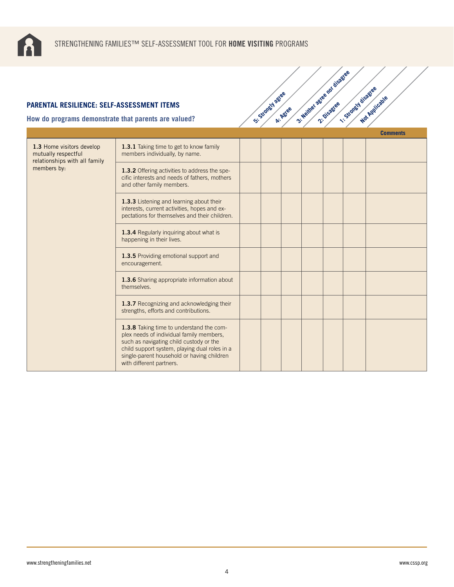

| <b>PARENTAL RESILIENCE: SELF-ASSESSMENT ITEMS</b><br>How do programs demonstrate that parents are valued? |                                                                                                                                                                                                                                                            | S .: Strongly agree | A: Agree | 3- Neither actes not disc. | 1. Strongth disagree | Not Applicable  |
|-----------------------------------------------------------------------------------------------------------|------------------------------------------------------------------------------------------------------------------------------------------------------------------------------------------------------------------------------------------------------------|---------------------|----------|----------------------------|----------------------|-----------------|
|                                                                                                           |                                                                                                                                                                                                                                                            |                     |          |                            |                      | <b>Comments</b> |
| 1.3 Home visitors develop<br>mutually respectful<br>relationships with all family<br>members by:          | 1.3.1 Taking time to get to know family<br>members individually, by name.                                                                                                                                                                                  |                     |          |                            |                      |                 |
|                                                                                                           | 1.3.2 Offering activities to address the spe-<br>cific interests and needs of fathers, mothers<br>and other family members.                                                                                                                                |                     |          |                            |                      |                 |
|                                                                                                           | 1.3.3 Listening and learning about their<br>interests, current activities, hopes and ex-<br>pectations for themselves and their children.                                                                                                                  |                     |          |                            |                      |                 |
|                                                                                                           | 1.3.4 Regularly inquiring about what is<br>happening in their lives.                                                                                                                                                                                       |                     |          |                            |                      |                 |
|                                                                                                           | 1.3.5 Providing emotional support and<br>encouragement.                                                                                                                                                                                                    |                     |          |                            |                      |                 |
|                                                                                                           | 1.3.6 Sharing appropriate information about<br>themselves.                                                                                                                                                                                                 |                     |          |                            |                      |                 |
|                                                                                                           | 1.3.7 Recognizing and acknowledging their<br>strengths, efforts and contributions.                                                                                                                                                                         |                     |          |                            |                      |                 |
|                                                                                                           | 1.3.8 Taking time to understand the com-<br>plex needs of individual family members,<br>such as navigating child custody or the<br>child support system, playing dual roles in a<br>single-parent household or having children<br>with different partners. |                     |          |                            |                      |                 |

3: Neither agreeable as disagreee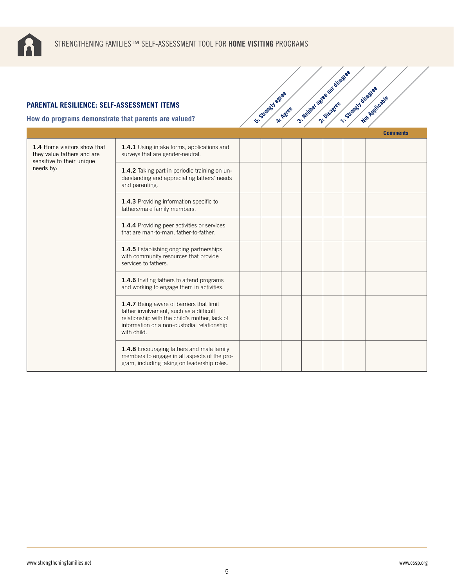

| <b>PARENTAL RESILIENCE: SELF-ASSESSMENT ITEMS</b><br>How do programs demonstrate that parents are valued? |                                                                                                                                                                                                    | St. Stoney agree | A: Agree | 3- Neilher agree not disage | 1. Strongy disagree | Not Applicable  |
|-----------------------------------------------------------------------------------------------------------|----------------------------------------------------------------------------------------------------------------------------------------------------------------------------------------------------|------------------|----------|-----------------------------|---------------------|-----------------|
|                                                                                                           |                                                                                                                                                                                                    |                  |          |                             |                     | <b>Comments</b> |
| 1.4 Home visitors show that<br>they value fathers and are<br>sensitive to their unique<br>needs by:       | 1.4.1 Using intake forms, applications and<br>surveys that are gender-neutral.                                                                                                                     |                  |          |                             |                     |                 |
|                                                                                                           | 1.4.2 Taking part in periodic training on un-<br>derstanding and appreciating fathers' needs<br>and parenting.                                                                                     |                  |          |                             |                     |                 |
|                                                                                                           | 1.4.3 Providing information specific to<br>fathers/male family members.                                                                                                                            |                  |          |                             |                     |                 |
|                                                                                                           | 1.4.4 Providing peer activities or services<br>that are man-to-man, father-to-father.                                                                                                              |                  |          |                             |                     |                 |
|                                                                                                           | 1.4.5 Establishing ongoing partnerships<br>with community resources that provide<br>services to fathers.                                                                                           |                  |          |                             |                     |                 |
|                                                                                                           | 1.4.6 Inviting fathers to attend programs<br>and working to engage them in activities.                                                                                                             |                  |          |                             |                     |                 |
|                                                                                                           | 1.4.7 Being aware of barriers that limit<br>father involvement, such as a difficult<br>relationship with the child's mother, lack of<br>information or a non-custodial relationship<br>with child. |                  |          |                             |                     |                 |
|                                                                                                           | 1.4.8 Encouraging fathers and male family<br>members to engage in all aspects of the pro-<br>gram, including taking on leadership roles.                                                           |                  |          |                             |                     |                 |

3: Neither agree nor disagree<br>2: Neither agreement is sold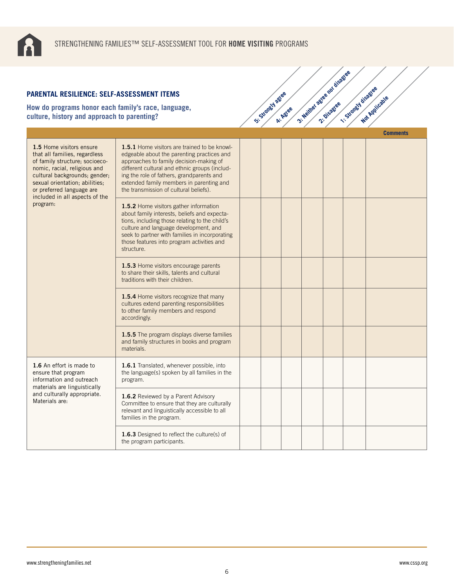

| <b>PARENTAL RESILIENCE: SELF-ASSESSMENT ITEMS</b><br>How do programs honor each family's race, language,<br>culture, history and approach to parenting?                                                                                                                   |                                                                                                                                                                                                                                                                                                                           | Si-Stratch Agree | A: Agree | 3- Neither agree not disage | 1-Strategy disastee | Not Applicable  |  |
|---------------------------------------------------------------------------------------------------------------------------------------------------------------------------------------------------------------------------------------------------------------------------|---------------------------------------------------------------------------------------------------------------------------------------------------------------------------------------------------------------------------------------------------------------------------------------------------------------------------|------------------|----------|-----------------------------|---------------------|-----------------|--|
|                                                                                                                                                                                                                                                                           |                                                                                                                                                                                                                                                                                                                           |                  |          |                             |                     | <b>Comments</b> |  |
| 1.5 Home visitors ensure<br>that all families, regardless<br>of family structure; socioeco-<br>nomic, racial, religious and<br>cultural backgrounds; gender;<br>sexual orientation; abilities;<br>or preferred language are<br>included in all aspects of the<br>program: | 1.5.1 Home visitors are trained to be knowl-<br>edgeable about the parenting practices and<br>approaches to family decision-making of<br>different cultural and ethnic groups (includ-<br>ing the role of fathers, grandparents and<br>extended family members in parenting and<br>the transmission of cultural beliefs). |                  |          |                             |                     |                 |  |
|                                                                                                                                                                                                                                                                           | 1.5.2 Home visitors gather information<br>about family interests, beliefs and expecta-<br>tions, including those relating to the child's<br>culture and language development, and<br>seek to partner with families in incorporating<br>those features into program activities and<br>structure.                           |                  |          |                             |                     |                 |  |
|                                                                                                                                                                                                                                                                           | 1.5.3 Home visitors encourage parents<br>to share their skills, talents and cultural<br>traditions with their children.                                                                                                                                                                                                   |                  |          |                             |                     |                 |  |
|                                                                                                                                                                                                                                                                           | 1.5.4 Home visitors recognize that many<br>cultures extend parenting responsibilities<br>to other family members and respond<br>accordingly.                                                                                                                                                                              |                  |          |                             |                     |                 |  |
|                                                                                                                                                                                                                                                                           | 1.5.5 The program displays diverse families<br>and family structures in books and program<br>materials.                                                                                                                                                                                                                   |                  |          |                             |                     |                 |  |
| 1.6 An effort is made to<br>ensure that program<br>information and outreach                                                                                                                                                                                               | 1.6.1 Translated, whenever possible, into<br>the language(s) spoken by all families in the<br>program.                                                                                                                                                                                                                    |                  |          |                             |                     |                 |  |
| materials are linguistically<br>and culturally appropriate.<br>Materials are:                                                                                                                                                                                             | 1.6.2 Reviewed by a Parent Advisory<br>Committee to ensure that they are culturally<br>relevant and linguistically accessible to all<br>families in the program.                                                                                                                                                          |                  |          |                             |                     |                 |  |
|                                                                                                                                                                                                                                                                           | 1.6.3 Designed to reflect the culture(s) of<br>the program participants.                                                                                                                                                                                                                                                  |                  |          |                             |                     |                 |  |

3: Neither agree nor disagree<br>2: Neither agreement is sold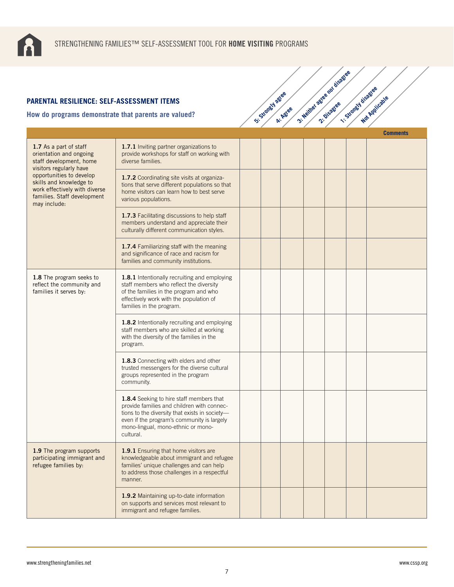

| PARENTAL RESILIENCE: SELF-ASSESSMENT ITEMS<br>low do programs demonstrate that parents are valued?                                  |                                                                                                                                                                                                                                           | St. Standy agree | A: Agree | 3- Neither agree not disage | 1-Strongy disagee | Not Applicable  |
|-------------------------------------------------------------------------------------------------------------------------------------|-------------------------------------------------------------------------------------------------------------------------------------------------------------------------------------------------------------------------------------------|------------------|----------|-----------------------------|-------------------|-----------------|
|                                                                                                                                     |                                                                                                                                                                                                                                           |                  |          |                             |                   | <b>Comments</b> |
| 1.7 As a part of staff<br>orientation and ongoing<br>staff development, home<br>visitors regularly have                             | 1.7.1 Inviting partner organizations to<br>provide workshops for staff on working with<br>diverse families.                                                                                                                               |                  |          |                             |                   |                 |
| opportunities to develop<br>skills and knowledge to<br>work effectively with diverse<br>families. Staff development<br>may include: | 1.7.2 Coordinating site visits at organiza-<br>tions that serve different populations so that<br>home visitors can learn how to best serve<br>various populations.                                                                        |                  |          |                             |                   |                 |
|                                                                                                                                     | 1.7.3 Facilitating discussions to help staff<br>members understand and appreciate their<br>culturally different communication styles.                                                                                                     |                  |          |                             |                   |                 |
|                                                                                                                                     | 1.7.4 Familiarizing staff with the meaning<br>and significance of race and racism for<br>families and community institutions.                                                                                                             |                  |          |                             |                   |                 |
| 1.8 The program seeks to<br>reflect the community and<br>families it serves by:                                                     | 1.8.1 Intentionally recruiting and employing<br>staff members who reflect the diversity<br>of the families in the program and who<br>effectively work with the population of<br>families in the program.                                  |                  |          |                             |                   |                 |
|                                                                                                                                     | 1.8.2 Intentionally recruiting and employing<br>staff members who are skilled at working<br>with the diversity of the families in the<br>program.                                                                                         |                  |          |                             |                   |                 |
|                                                                                                                                     | 1.8.3 Connecting with elders and other<br>trusted messengers for the diverse cultural<br>groups represented in the program<br>community.                                                                                                  |                  |          |                             |                   |                 |
|                                                                                                                                     | 1.8.4 Seeking to hire staff members that<br>provide families and children with connec-<br>tions to the diversity that exists in society-<br>even if the program's community is largely<br>mono-lingual, mono-ethnic or mono-<br>cultural. |                  |          |                             |                   |                 |
| 1.9 The program supports<br>participating immigrant and<br>refugee families by:                                                     | 1.9.1 Ensuring that home visitors are<br>knowledgeable about immigrant and refugee<br>families' unique challenges and can help<br>to address those challenges in a respectful<br>manner.                                                  |                  |          |                             |                   |                 |
|                                                                                                                                     | 1.9.2 Maintaining up-to-date information<br>on supports and services most relevant to<br>immigrant and refugee families.                                                                                                                  |                  |          |                             |                   |                 |

3: Neither agree nor disagree<br>2: Neither agreement is sold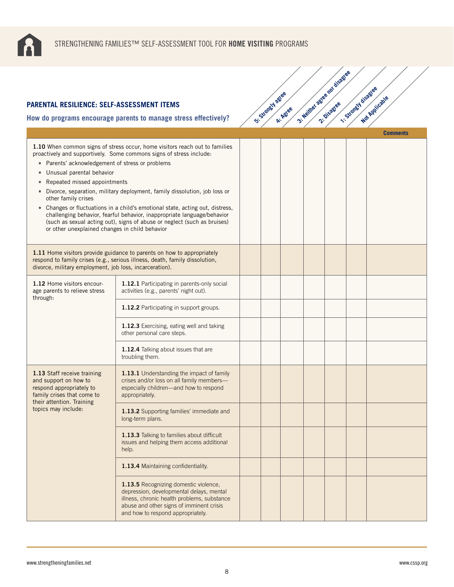

|                                                                                                                                                                                                                  |                                                                                                                                                                                                                                                                                                                                                                                                                                                                         | S'-Standal agree |          | 3- Neither action rol bisettee | 1-Strongy disagree |                 |
|------------------------------------------------------------------------------------------------------------------------------------------------------------------------------------------------------------------|-------------------------------------------------------------------------------------------------------------------------------------------------------------------------------------------------------------------------------------------------------------------------------------------------------------------------------------------------------------------------------------------------------------------------------------------------------------------------|------------------|----------|--------------------------------|--------------------|-----------------|
| <b>PARENTAL RESILIENCE: SELF-ASSESSMENT ITEMS</b>                                                                                                                                                                |                                                                                                                                                                                                                                                                                                                                                                                                                                                                         |                  | A: Agree |                                |                    | Not Applicable  |
|                                                                                                                                                                                                                  | How do programs encourage parents to manage stress effectively?                                                                                                                                                                                                                                                                                                                                                                                                         |                  |          |                                |                    |                 |
| • Parents' acknowledgement of stress or problems<br>Unusual parental behavior<br>$\bullet$<br>Repeated missed appointments<br>$\bullet$<br>other family crises<br>or other unexplained changes in child behavior | 1.10 When common signs of stress occur, home visitors reach out to families<br>proactively and supportively. Some commons signs of stress include:<br>Divorce, separation, military deployment, family dissolution, job loss or<br>• Changes or fluctuations in a child's emotional state, acting out, distress,<br>challenging behavior, fearful behavior, inappropriate language/behavior<br>(such as sexual acting out), signs of abuse or neglect (such as bruises) |                  |          |                                |                    | <b>Comments</b> |
| divorce, military employment, job loss, incarceration).                                                                                                                                                          | 1.11 Home visitors provide guidance to parents on how to appropriately<br>respond to family crises (e.g., serious illness, death, family dissolution,                                                                                                                                                                                                                                                                                                                   |                  |          |                                |                    |                 |
| 1.12 Home visitors encour-<br>age parents to relieve stress<br>through:                                                                                                                                          | 1.12.1 Participating in parents-only social<br>activities (e.g., parents' night out).                                                                                                                                                                                                                                                                                                                                                                                   |                  |          |                                |                    |                 |
|                                                                                                                                                                                                                  | 1.12.2 Participating in support groups.                                                                                                                                                                                                                                                                                                                                                                                                                                 |                  |          |                                |                    |                 |
|                                                                                                                                                                                                                  | 1.12.3 Exercising, eating well and taking<br>other personal care steps.                                                                                                                                                                                                                                                                                                                                                                                                 |                  |          |                                |                    |                 |
|                                                                                                                                                                                                                  | 1.12.4 Talking about issues that are<br>troubling them.                                                                                                                                                                                                                                                                                                                                                                                                                 |                  |          |                                |                    |                 |
| 1.13 Staff receive training<br>and support on how to<br>respond appropriately to<br>family crises that come to<br>their attention. Training                                                                      | 1.13.1 Understanding the impact of family<br>crises and/or loss on all family members-<br>especially children-and how to respond<br>appropriately.                                                                                                                                                                                                                                                                                                                      |                  |          |                                |                    |                 |
| topics may include:                                                                                                                                                                                              | 1.13.2 Supporting families' immediate and<br>long-term plans.                                                                                                                                                                                                                                                                                                                                                                                                           |                  |          |                                |                    |                 |
|                                                                                                                                                                                                                  | 1.13.3 Talking to families about difficult<br>issues and helping them access additional<br>help.                                                                                                                                                                                                                                                                                                                                                                        |                  |          |                                |                    |                 |
|                                                                                                                                                                                                                  | 1.13.4 Maintaining confidentiality.                                                                                                                                                                                                                                                                                                                                                                                                                                     |                  |          |                                |                    |                 |
|                                                                                                                                                                                                                  | 1.13.5 Recognizing domestic violence,<br>depression, developmental delays, mental<br>illness, chronic health problems, substance<br>abuse and other signs of imminent crisis<br>and how to respond appropriately.                                                                                                                                                                                                                                                       |                  |          |                                |                    |                 |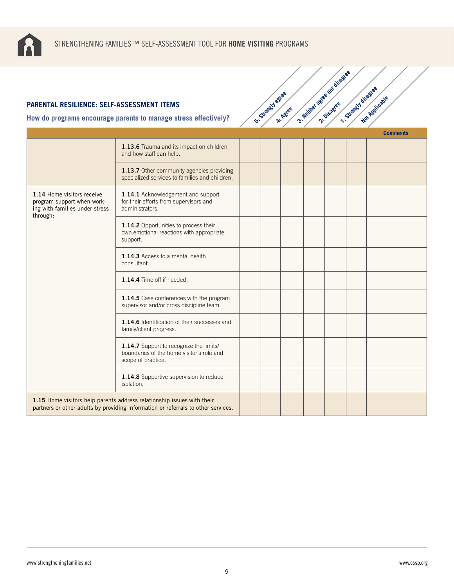

#### **How do programs encourage parents to manage stress effectively?**

| <b>PARENTAL RESILIENCE: SELF-ASSESSMENT ITEMS</b>                                          |                                                                                                                                                             | Si-Strangy Agree |          | 3- Neither agree not disage | 1-Strongy disagree | Not Applicable  |
|--------------------------------------------------------------------------------------------|-------------------------------------------------------------------------------------------------------------------------------------------------------------|------------------|----------|-----------------------------|--------------------|-----------------|
|                                                                                            | How do programs encourage parents to manage stress effectively?                                                                                             |                  | A: Agree |                             |                    |                 |
|                                                                                            |                                                                                                                                                             |                  |          |                             |                    | <b>Comments</b> |
|                                                                                            | 1.13.6 Trauma and its impact on children<br>and how staff can help.                                                                                         |                  |          |                             |                    |                 |
|                                                                                            | 1.13.7 Other community agencies providing<br>specialized services to families and children.                                                                 |                  |          |                             |                    |                 |
| 1.14 Home visitors receive<br>program support when work-<br>ing with families under stress | 1.14.1 Acknowledgement and support<br>for their efforts from supervisors and<br>administrators.                                                             |                  |          |                             |                    |                 |
| through:                                                                                   | 1.14.2 Opportunities to process their<br>own emotional reactions with appropriate<br>support.                                                               |                  |          |                             |                    |                 |
|                                                                                            | 1.14.3 Access to a mental health<br>consultant.                                                                                                             |                  |          |                             |                    |                 |
|                                                                                            | 1.14.4 Time off if needed.                                                                                                                                  |                  |          |                             |                    |                 |
|                                                                                            | 1.14.5 Case conferences with the program<br>supervisor and/or cross discipline team.                                                                        |                  |          |                             |                    |                 |
|                                                                                            | 1.14.6 Identification of their successes and<br>family/client progress.                                                                                     |                  |          |                             |                    |                 |
|                                                                                            | 1.14.7 Support to recognize the limits/<br>boundaries of the home visitor's role and<br>scope of practice.                                                  |                  |          |                             |                    |                 |
|                                                                                            | 1.14.8 Supportive supervision to reduce<br>isolation.                                                                                                       |                  |          |                             |                    |                 |
|                                                                                            | 1.15 Home visitors help parents address relationship issues with their<br>partners or other adults by providing information or referrals to other services. |                  |          |                             |                    |                 |

3: Neither agree nor disagree<br>2: Neither agreement is sold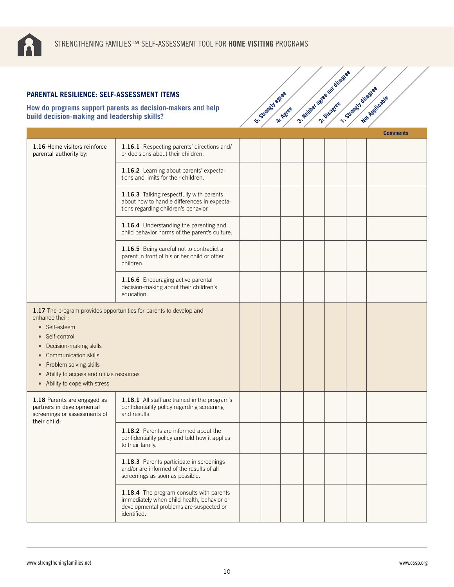

| PARENTAL RESILIENCE: SELF-ASSESSMENT ITEMS<br>build decision-making and leadership skills?                                                                                                                                                            | How do programs support parents as decision-makers and help                                                                                      | Si Standy Jackes | A: Agree | 3- Neither agree not disage | 1. Stony J disagree | Not Applicable  |
|-------------------------------------------------------------------------------------------------------------------------------------------------------------------------------------------------------------------------------------------------------|--------------------------------------------------------------------------------------------------------------------------------------------------|------------------|----------|-----------------------------|---------------------|-----------------|
|                                                                                                                                                                                                                                                       |                                                                                                                                                  |                  |          |                             |                     | <b>Comments</b> |
| 1.16 Home visitors reinforce<br>parental authority by:                                                                                                                                                                                                | 1.16.1 Respecting parents' directions and/<br>or decisions about their children.                                                                 |                  |          |                             |                     |                 |
|                                                                                                                                                                                                                                                       | 1.16.2 Learning about parents' expecta-<br>tions and limits for their children.                                                                  |                  |          |                             |                     |                 |
|                                                                                                                                                                                                                                                       | 1.16.3 Talking respectfully with parents<br>about how to handle differences in expecta-<br>tions regarding children's behavior.                  |                  |          |                             |                     |                 |
|                                                                                                                                                                                                                                                       | 1.16.4 Understanding the parenting and<br>child behavior norms of the parent's culture.                                                          |                  |          |                             |                     |                 |
|                                                                                                                                                                                                                                                       | 1.16.5 Being careful not to contradict a<br>parent in front of his or her child or other<br>children.                                            |                  |          |                             |                     |                 |
|                                                                                                                                                                                                                                                       | 1.16.6 Encouraging active parental<br>decision-making about their children's<br>education.                                                       |                  |          |                             |                     |                 |
| enhance their:<br>Self-esteem<br>• Self-control<br>Decision-making skills<br><b>Communication skills</b><br>$\bullet$<br>Problem solving skills<br>$\bullet$<br>Ability to access and utilize resources<br>$\bullet$<br>• Ability to cope with stress | 1.17 The program provides opportunities for parents to develop and                                                                               |                  |          |                             |                     |                 |
| 1.18 Parents are engaged as<br>partners in developmental<br>screenings or assessments of                                                                                                                                                              | 1.18.1 All staff are trained in the program's<br>confidentiality policy regarding screening<br>and results.                                      |                  |          |                             |                     |                 |
| their child:                                                                                                                                                                                                                                          | 1.18.2 Parents are informed about the<br>confidentiality policy and told how it applies<br>to their family.                                      |                  |          |                             |                     |                 |
|                                                                                                                                                                                                                                                       | 1.18.3 Parents participate in screenings<br>and/or are informed of the results of all<br>screenings as soon as possible.                         |                  |          |                             |                     |                 |
|                                                                                                                                                                                                                                                       | 1.18.4 The program consults with parents<br>immediately when child health, behavior or<br>developmental problems are suspected or<br>identified. |                  |          |                             |                     |                 |

3: Neither agree nor disagree<br>2: Neither agreement is sold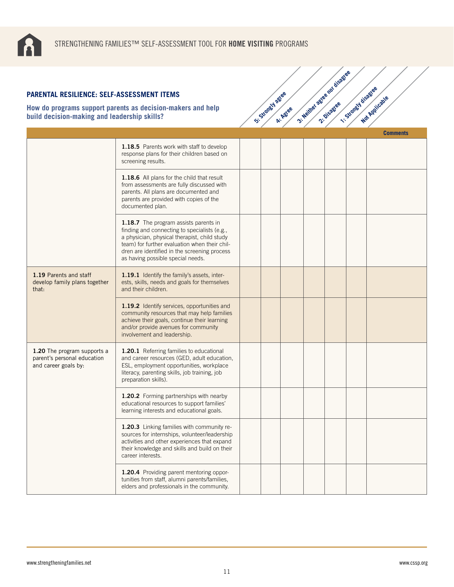

| <b>PARENTAL RESILIENCE: SELF-ASSESSMENT ITEMS</b>                                  | How do programs support parents as decision-makers and help                                                                                                                                                                                                                 | Si-Strangy agree |          | 3- Neither agree not disage | 1. Stony J disagree | Not Applicable  |
|------------------------------------------------------------------------------------|-----------------------------------------------------------------------------------------------------------------------------------------------------------------------------------------------------------------------------------------------------------------------------|------------------|----------|-----------------------------|---------------------|-----------------|
| build decision-making and leadership skills?                                       |                                                                                                                                                                                                                                                                             |                  | A: Agree |                             |                     | <b>Comments</b> |
|                                                                                    | 1.18.5 Parents work with staff to develop<br>response plans for their children based on<br>screening results.                                                                                                                                                               |                  |          |                             |                     |                 |
|                                                                                    | 1.18.6 All plans for the child that result<br>from assessments are fully discussed with<br>parents. All plans are documented and<br>parents are provided with copies of the<br>documented plan.                                                                             |                  |          |                             |                     |                 |
|                                                                                    | 1.18.7 The program assists parents in<br>finding and connecting to specialists (e.g.,<br>a physician, physical therapist, child study<br>team) for further evaluation when their chil-<br>dren are identified in the screening process<br>as having possible special needs. |                  |          |                             |                     |                 |
| 1.19 Parents and staff<br>develop family plans together<br>that:                   | 1.19.1 Identify the family's assets, inter-<br>ests, skills, needs and goals for themselves<br>and their children.                                                                                                                                                          |                  |          |                             |                     |                 |
|                                                                                    | 1.19.2 Identify services, opportunities and<br>community resources that may help families<br>achieve their goals, continue their learning<br>and/or provide avenues for community<br>involvement and leadership.                                                            |                  |          |                             |                     |                 |
| 1.20 The program supports a<br>parent's personal education<br>and career goals by: | 1.20.1 Referring families to educational<br>and career resources (GED, adult education,<br>ESL, employment opportunities, workplace<br>literacy, parenting skills, job training, job<br>preparation skills).                                                                |                  |          |                             |                     |                 |
|                                                                                    | 1.20.2 Forming partnerships with nearby<br>educational resources to support families'<br>learning interests and educational goals.                                                                                                                                          |                  |          |                             |                     |                 |
|                                                                                    | 1.20.3 Linking families with community re-<br>sources for internships, volunteer/leadership<br>activities and other experiences that expand<br>their knowledge and skills and build on their<br>career interests.                                                           |                  |          |                             |                     |                 |
|                                                                                    | 1.20.4 Providing parent mentoring oppor-<br>tunities from staff, alumni parents/families,<br>elders and professionals in the community.                                                                                                                                     |                  |          |                             |                     |                 |

3: Neither agree nor disagree<br>2: Neither agreement is sold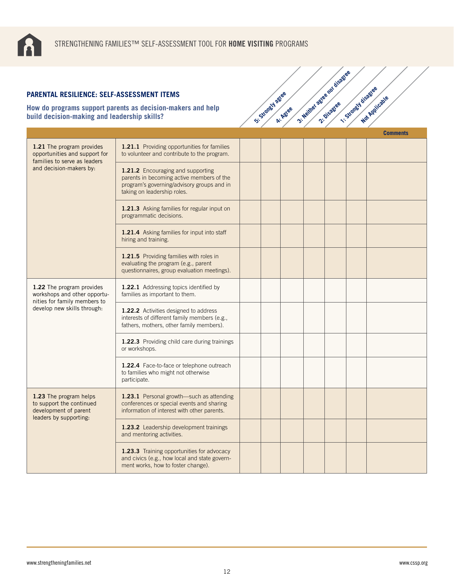

| <b>PARENTAL RESILIENCE: SELF-ASSESSMENT ITEMS</b>                                                     |                                                                                                                                                             |                  |          | 3- Neither agree not disage | 1-Strongy disagree |                 |
|-------------------------------------------------------------------------------------------------------|-------------------------------------------------------------------------------------------------------------------------------------------------------------|------------------|----------|-----------------------------|--------------------|-----------------|
| build decision-making and leadership skills?                                                          | How do programs support parents as decision-makers and help                                                                                                 | Si-Strongly agee | A: Agree |                             |                    | Not Applicable  |
|                                                                                                       |                                                                                                                                                             |                  |          |                             |                    | <b>Comments</b> |
| 1.21 The program provides<br>opportunities and support for<br>families to serve as leaders            | 1.21.1 Providing opportunities for families<br>to volunteer and contribute to the program.                                                                  |                  |          |                             |                    |                 |
| and decision-makers by:                                                                               | 1.21.2 Encouraging and supporting<br>parents in becoming active members of the<br>program's governing/advisory groups and in<br>taking on leadership roles. |                  |          |                             |                    |                 |
|                                                                                                       | 1.21.3 Asking families for regular input on<br>programmatic decisions.                                                                                      |                  |          |                             |                    |                 |
|                                                                                                       | 1.21.4 Asking families for input into staff<br>hiring and training.                                                                                         |                  |          |                             |                    |                 |
|                                                                                                       | 1.21.5 Providing families with roles in<br>evaluating the program (e.g., parent<br>questionnaires, group evaluation meetings).                              |                  |          |                             |                    |                 |
| 1.22 The program provides<br>workshops and other opportu-<br>nities for family members to             | 1.22.1 Addressing topics identified by<br>families as important to them.                                                                                    |                  |          |                             |                    |                 |
| develop new skills through:                                                                           | 1.22.2 Activities designed to address<br>interests of different family members (e.g.,<br>fathers, mothers, other family members).                           |                  |          |                             |                    |                 |
|                                                                                                       | 1.22.3 Providing child care during trainings<br>or workshops.                                                                                               |                  |          |                             |                    |                 |
|                                                                                                       | 1.22.4 Face-to-face or telephone outreach<br>to families who might not otherwise<br>participate.                                                            |                  |          |                             |                    |                 |
| 1.23 The program helps<br>to support the continued<br>development of parent<br>leaders by supporting: | 1.23.1 Personal growth-such as attending<br>conferences or special events and sharing<br>information of interest with other parents.                        |                  |          |                             |                    |                 |
|                                                                                                       | 1.23.2 Leadership development trainings<br>and mentoring activities.                                                                                        |                  |          |                             |                    |                 |
|                                                                                                       | 1.23.3 Training opportunities for advocacy<br>and civics (e.g., how local and state govern-<br>ment works, how to foster change).                           |                  |          |                             |                    |                 |

3: Neither agree nor disagree<br>2: Neither agreement is sold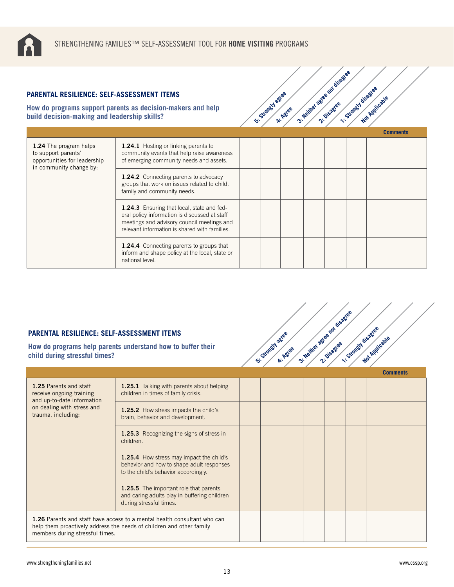

| <b>PARENTAL RESILIENCE: SELF-ASSESSMENT ITEMS</b><br>build decision-making and leadership skills?        | How do programs support parents as decision-makers and help                                                                                                                                | St. Standy agree | A: Agree | 3- Nextree astee for disage | 1-Strongwideagee | Not Applicable  |
|----------------------------------------------------------------------------------------------------------|--------------------------------------------------------------------------------------------------------------------------------------------------------------------------------------------|------------------|----------|-----------------------------|------------------|-----------------|
|                                                                                                          |                                                                                                                                                                                            |                  |          |                             |                  | <b>Comments</b> |
| 1.24 The program helps<br>to support parents'<br>opportunities for leadership<br>in community change by: | 1.24.1 Hosting or linking parents to<br>community events that help raise awareness<br>of emerging community needs and assets.                                                              |                  |          |                             |                  |                 |
|                                                                                                          | <b>1.24.2</b> Connecting parents to advocacy<br>groups that work on issues related to child,<br>family and community needs.                                                                |                  |          |                             |                  |                 |
|                                                                                                          | 1.24.3 Ensuring that local, state and fed-<br>eral policy information is discussed at staff<br>meetings and advisory council meetings and<br>relevant information is shared with families. |                  |          |                             |                  |                 |
|                                                                                                          | <b>1.24.4</b> Connecting parents to groups that<br>inform and shape policy at the local, state or<br>national level.                                                                       |                  |          |                             |                  |                 |

3: Neither agree nor disagree<br>2: Neither agreement is so

## **PARENTAL RESILIENCE: SELF-ASSESSMENT ITEMS**

**How do programs help parents understand how to buffer their child during stressful times?**



| 1.25 Parents and staff<br>receive ongoing training<br>and up-to-date information<br>on dealing with stress and<br>trauma, including: | 1.25.1 Talking with parents about helping<br>children in times of family crisis.                                                                        |  |  |  |  |
|--------------------------------------------------------------------------------------------------------------------------------------|---------------------------------------------------------------------------------------------------------------------------------------------------------|--|--|--|--|
|                                                                                                                                      | <b>1.25.2</b> How stress impacts the child's<br>brain, behavior and development.                                                                        |  |  |  |  |
|                                                                                                                                      | <b>1.25.3</b> Recognizing the signs of stress in<br>children.                                                                                           |  |  |  |  |
|                                                                                                                                      | 1.25.4 How stress may impact the child's<br>behavior and how to shape adult responses<br>to the child's behavior accordingly.                           |  |  |  |  |
|                                                                                                                                      | <b>1.25.5</b> The important role that parents<br>and caring adults play in buffering children<br>during stressful times.                                |  |  |  |  |
| members during stressful times.                                                                                                      | <b>1.26</b> Parents and staff have access to a mental health consultant who can<br>help them proactively address the needs of children and other family |  |  |  |  |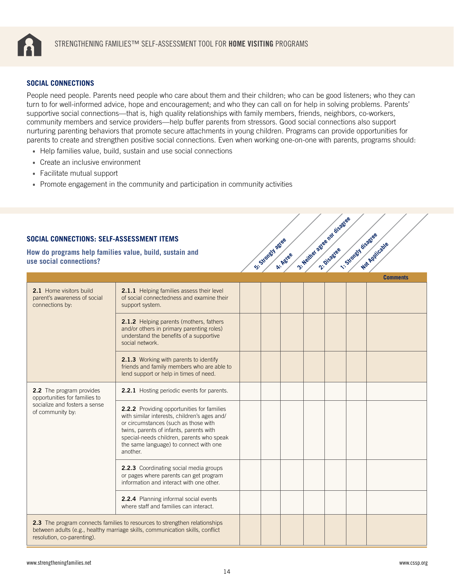<span id="page-13-0"></span>

#### **SOCIAL CONNECTIONS**

People need people. Parents need people who care about them and their children; who can be good listeners; who they can turn to for well-informed advice, hope and encouragement; and who they can call on for help in solving problems. Parents' supportive social connections—that is, high quality relationships with family members, friends, neighbors, co-workers, community members and service providers—help buffer parents from stressors. Good social connections also support nurturing parenting behaviors that promote secure attachments in young children. Programs can provide opportunities for parents to create and strengthen positive social connections. Even when working one-on-one with parents, programs should:

- Help families value, build, sustain and use social connections
- Create an inclusive environment

- Facilitate mutual support
- Promote engagement in the community and participation in community activities

| SOCIAL CONNECTIONS: SELF-ASSESSMENT ITEMS<br>How do programs help families value, build, sustain and<br>use social connections? |                                                                                                                                                                                                                                                                                  | St. Strongly ages | A: Agree | 3: Neither actes not disable | ·· Strongy disaties | Mar Annicaties<br><b>Comments</b> |
|---------------------------------------------------------------------------------------------------------------------------------|----------------------------------------------------------------------------------------------------------------------------------------------------------------------------------------------------------------------------------------------------------------------------------|-------------------|----------|------------------------------|---------------------|-----------------------------------|
| 2.1 Home visitors build<br>parent's awareness of social<br>connections by:                                                      | 2.1.1 Helping families assess their level<br>of social connectedness and examine their<br>support system.                                                                                                                                                                        |                   |          |                              |                     |                                   |
|                                                                                                                                 | 2.1.2 Helping parents (mothers, fathers<br>and/or others in primary parenting roles)<br>understand the benefits of a supportive<br>social network.                                                                                                                               |                   |          |                              |                     |                                   |
|                                                                                                                                 | 2.1.3 Working with parents to identify<br>friends and family members who are able to<br>lend support or help in times of need.                                                                                                                                                   |                   |          |                              |                     |                                   |
| 2.2 The program provides<br>opportunities for families to                                                                       | 2.2.1 Hosting periodic events for parents.                                                                                                                                                                                                                                       |                   |          |                              |                     |                                   |
| socialize and fosters a sense<br>of community by:                                                                               | 2.2.2 Providing opportunities for families<br>with similar interests, children's ages and/<br>or circumstances (such as those with<br>twins, parents of infants, parents with<br>special-needs children, parents who speak<br>the same language) to connect with one<br>another. |                   |          |                              |                     |                                   |
|                                                                                                                                 | 2.2.3 Coordinating social media groups<br>or pages where parents can get program<br>information and interact with one other.                                                                                                                                                     |                   |          |                              |                     |                                   |
|                                                                                                                                 | 2.2.4 Planning informal social events<br>where staff and families can interact.                                                                                                                                                                                                  |                   |          |                              |                     |                                   |
| resolution, co-parenting).                                                                                                      | 2.3 The program connects families to resources to strengthen relationships<br>between adults (e.g., healthy marriage skills, communication skills, conflict                                                                                                                      |                   |          |                              |                     |                                   |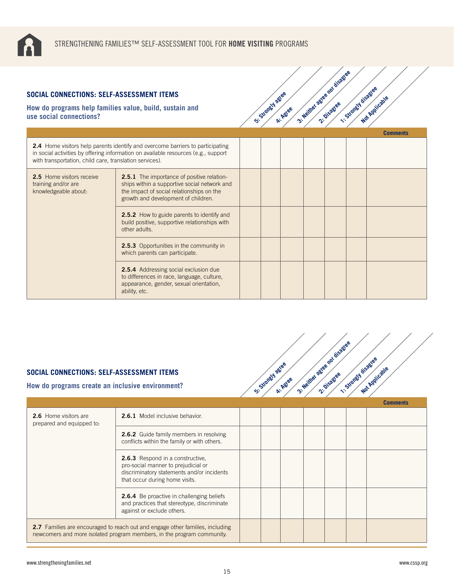

**2.5.3** Opportunities in the community in

**2.5.4** Addressing social exclusion due to differences in race, language, culture, appearance, gender, sexual orientation,

which parents can participate.

ability, etc.

#### **SOCIAL CONNECTIONS: S**

| OCIAL CONNECTIONS: SELF-ASSESSMENT ITEMS<br>ow do programs help families value, build, sustain and<br>se social connections? |                                                                                                                                                                                       | St. Standy agree | A: Agree | 3- Neither agree not disagree | 1-Strongly disagree | Not Applicable  |
|------------------------------------------------------------------------------------------------------------------------------|---------------------------------------------------------------------------------------------------------------------------------------------------------------------------------------|------------------|----------|-------------------------------|---------------------|-----------------|
|                                                                                                                              |                                                                                                                                                                                       |                  |          |                               |                     | <b>Comments</b> |
| with transportation, child care, translation services).                                                                      | <b>2.4</b> Home visitors help parents identify and overcome barriers to participating<br>in social activities by offering information on available resources (e.g., support           |                  |          |                               |                     |                 |
| <b>2.5</b> Home visitors receive<br>training and/or are<br>knowledgeable about:                                              | <b>2.5.1</b> The importance of positive relation-<br>ships within a supportive social network and<br>the impact of social relationships on the<br>growth and development of children. |                  |          |                               |                     |                 |
|                                                                                                                              | <b>2.5.2</b> How to guide parents to identify and<br>build positive, supportive relationships with<br>other adults.                                                                   |                  |          |                               |                     |                 |

3: Neither agree nor disagree

# **SOCIAL CONNECTIONS: SELF-ASSESSMENT ITEMS**

| SOCIAL CONNECTIONS: SELF-ASSESSMENT ITEMS<br>How do programs create an inclusive environment?                                                                  | St. Strandy agree                                                                                                                                       | A: Agree | 3: Neither astee not disase | 1-Strongy disastee | Not Applicatie |                 |
|----------------------------------------------------------------------------------------------------------------------------------------------------------------|---------------------------------------------------------------------------------------------------------------------------------------------------------|----------|-----------------------------|--------------------|----------------|-----------------|
|                                                                                                                                                                |                                                                                                                                                         |          |                             |                    |                | <b>Comments</b> |
| 2.6 Home visitors are<br>prepared and equipped to:                                                                                                             | 2.6.1 Model inclusive behavior.                                                                                                                         |          |                             |                    |                |                 |
|                                                                                                                                                                | <b>2.6.2</b> Guide family members in resolving<br>conflicts within the family or with others.                                                           |          |                             |                    |                |                 |
|                                                                                                                                                                | 2.6.3 Respond in a constructive,<br>pro-social manner to prejudicial or<br>discriminatory statements and/or incidents<br>that occur during home visits. |          |                             |                    |                |                 |
|                                                                                                                                                                | <b>2.6.4</b> Be proactive in challenging beliefs<br>and practices that stereotype, discriminate<br>against or exclude others.                           |          |                             |                    |                |                 |
| <b>2.7</b> Families are encouraged to reach out and engage other families, including<br>newcomers and more isolated program members, in the program community. |                                                                                                                                                         |          |                             |                    |                |                 |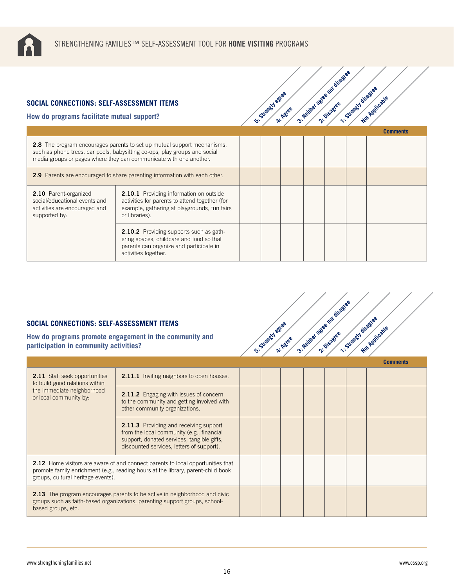

#### **SOCIAL CONNECTIONS: SELF-ASSESSMENT ITEMS**

**How do programs facilitate mutual support?**



|                                                                                                                                                                                                                                    |                                                                                                                                                                    |  |  |  | <b>Comments</b> |
|------------------------------------------------------------------------------------------------------------------------------------------------------------------------------------------------------------------------------------|--------------------------------------------------------------------------------------------------------------------------------------------------------------------|--|--|--|-----------------|
| <b>2.8</b> The program encourages parents to set up mutual support mechanisms,<br>such as phone trees, car pools, babysitting co-ops, play groups and social<br>media groups or pages where they can communicate with one another. |                                                                                                                                                                    |  |  |  |                 |
| 2.9 Parents are encouraged to share parenting information with each other.                                                                                                                                                         |                                                                                                                                                                    |  |  |  |                 |
| 2.10 Parent-organized<br>social/educational events and<br>activities are encouraged and<br>supported by:                                                                                                                           | <b>2.10.1</b> Providing information on outside<br>activities for parents to attend together (for<br>example, gathering at playgrounds, fun fairs<br>or libraries). |  |  |  |                 |
|                                                                                                                                                                                                                                    | <b>2.10.2</b> Providing supports such as gath-<br>ering spaces, childcare and food so that<br>parents can organize and participate in<br>activities together.      |  |  |  |                 |

#### **SOCIAL CONNECTIONS: SELF-ASSESSMENT ITEMS**

**How do programs promote engagement in the community and participation in community activities?**



|                                                                                                                                                                                                                  |                                                                                                                                                                                       |  |  |  | <b>Comments</b> |
|------------------------------------------------------------------------------------------------------------------------------------------------------------------------------------------------------------------|---------------------------------------------------------------------------------------------------------------------------------------------------------------------------------------|--|--|--|-----------------|
| <b>2.11</b> Staff seek opportunities<br>to build good relations within                                                                                                                                           | <b>2.11.1</b> Inviting neighbors to open houses.                                                                                                                                      |  |  |  |                 |
| the immediate neighborhood<br>or local community by:                                                                                                                                                             | <b>2.11.2</b> Engaging with issues of concern<br>to the community and getting involved with<br>other community organizations.                                                         |  |  |  |                 |
|                                                                                                                                                                                                                  | <b>2.11.3</b> Providing and receiving support<br>from the local community (e.g., financial<br>support, donated services, tangible gifts,<br>discounted services, letters of support). |  |  |  |                 |
| <b>2.12</b> Home visitors are aware of and connect parents to local opportunities that<br>promote family enrichment (e.g., reading hours at the library, parent-child book<br>groups, cultural heritage events). |                                                                                                                                                                                       |  |  |  |                 |
| <b>2.13</b> The program encourages parents to be active in neighborhood and civic<br>groups such as faith-based organizations, parenting support groups, school-<br>based groups, etc.                           |                                                                                                                                                                                       |  |  |  |                 |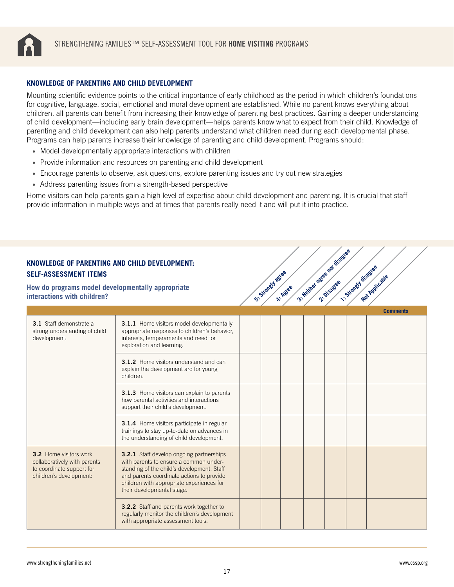<span id="page-16-0"></span>

#### **KNOWLEDGE OF PARENTING AND CHILD DEVELOPMENT**

Mounting scientific evidence points to the critical importance of early childhood as the period in which children's foundations for cognitive, language, social, emotional and moral development are established. While no parent knows everything about children, all parents can benefit from increasing their knowledge of parenting best practices. Gaining a deeper understanding of child development—including early brain development—helps parents know what to expect from their child. Knowledge of parenting and child development can also help parents understand what children need during each developmental phase. Programs can help parents increase their knowledge of parenting and child development. Programs should:

- Model developmentally appropriate interactions with children
- Provide information and resources on parenting and child development
- Encourage parents to observe, ask questions, explore parenting issues and try out new strategies
- Address parenting issues from a strength-based perspective

Home visitors can help parents gain a high level of expertise about child development and parenting. It is crucial that staff provide information in multiple ways and at times that parents really need it and will put it into practice.

and the contract of the contract of

| <b>SELF-ASSESSMENT ITEMS</b>                                                                                   | KNOWLEDGE OF PARENTING AND CHILD DEVELOPMENT:<br>How do programs model developmentally appropriate<br>interactions with children?                                                                                                                               |  |  | St. Strongly agree<br>A: Agree | 3- Neither agree not disagree | 1. Strongy disagree<br>Not Applicable |  |
|----------------------------------------------------------------------------------------------------------------|-----------------------------------------------------------------------------------------------------------------------------------------------------------------------------------------------------------------------------------------------------------------|--|--|--------------------------------|-------------------------------|---------------------------------------|--|
|                                                                                                                |                                                                                                                                                                                                                                                                 |  |  |                                |                               | <b>Comments</b>                       |  |
| 3.1 Staff demonstrate a<br>strong understanding of child<br>development:                                       | 3.1.1 Home visitors model developmentally<br>appropriate responses to children's behavior,<br>interests, temperaments and need for<br>exploration and learning.                                                                                                 |  |  |                                |                               |                                       |  |
|                                                                                                                | 3.1.2 Home visitors understand and can<br>explain the development arc for young<br>children.                                                                                                                                                                    |  |  |                                |                               |                                       |  |
|                                                                                                                | 3.1.3 Home visitors can explain to parents<br>how parental activities and interactions<br>support their child's development.                                                                                                                                    |  |  |                                |                               |                                       |  |
|                                                                                                                | 3.1.4 Home visitors participate in regular<br>trainings to stay up-to-date on advances in<br>the understanding of child development.                                                                                                                            |  |  |                                |                               |                                       |  |
| 3.2 Home visitors work<br>collaboratively with parents<br>to coordinate support for<br>children's development: | <b>3.2.1</b> Staff develop ongoing partnerships<br>with parents to ensure a common under-<br>standing of the child's development. Staff<br>and parents coordinate actions to provide<br>children with appropriate experiences for<br>their developmental stage. |  |  |                                |                               |                                       |  |
|                                                                                                                | 3.2.2 Staff and parents work together to<br>regularly monitor the children's development<br>with appropriate assessment tools.                                                                                                                                  |  |  |                                |                               |                                       |  |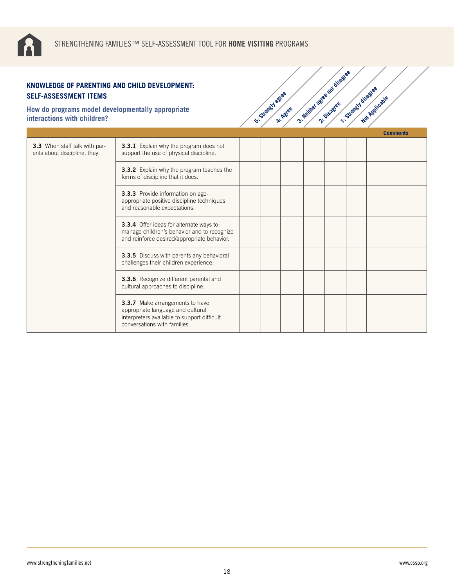

| KNOWLEDGE OF PARENTING AND CHILD DEVELOPMENT:<br><b>SELF-ASSESSMENT ITEMS</b>    |                                                                                                                                                     |                    |          | 3: Neillie agree not disage |                      |                 |
|----------------------------------------------------------------------------------|-----------------------------------------------------------------------------------------------------------------------------------------------------|--------------------|----------|-----------------------------|----------------------|-----------------|
| How do programs model developmentally appropriate<br>interactions with children? |                                                                                                                                                     | St. Strongly agree | A: Agree |                             | 1. Strongth disagree | Not Applicable  |
|                                                                                  |                                                                                                                                                     |                    |          |                             |                      | <b>Comments</b> |
| 3.3 When staff talk with par-<br>ents about discipline, they:                    | 3.3.1 Explain why the program does not<br>support the use of physical discipline.                                                                   |                    |          |                             |                      |                 |
|                                                                                  | <b>3.3.2</b> Explain why the program teaches the<br>forms of discipline that it does.                                                               |                    |          |                             |                      |                 |
|                                                                                  | 3.3.3 Provide information on age-<br>appropriate positive discipline techniques<br>and reasonable expectations.                                     |                    |          |                             |                      |                 |
|                                                                                  | 3.3.4 Offer ideas for alternate ways to<br>manage children's behavior and to recognize<br>and reinforce desired/appropriate behavior.               |                    |          |                             |                      |                 |
|                                                                                  | 3.3.5 Discuss with parents any behavioral<br>challenges their children experience.                                                                  |                    |          |                             |                      |                 |
|                                                                                  | 3.3.6 Recognize different parental and<br>cultural approaches to discipline.                                                                        |                    |          |                             |                      |                 |
|                                                                                  | 3.3.7 Make arrangements to have<br>appropriate language and cultural<br>interpreters available to support difficult<br>conversations with families. |                    |          |                             |                      |                 |

3: Neither agree nor disagree<br>2: Neither agreement is so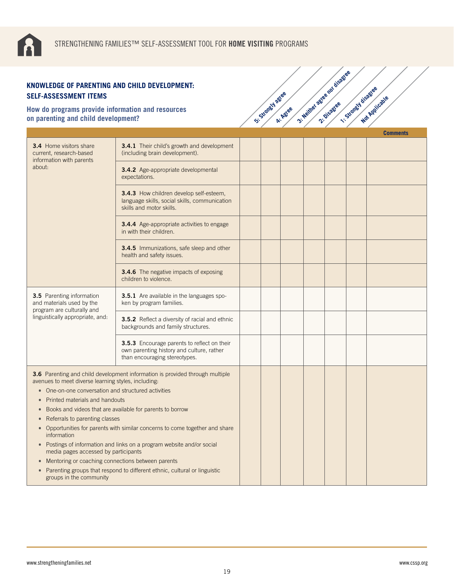

| KNOWLEDGE OF PARENTING AND CHILD DEVELOPMENT:<br><b>SELF-ASSESSMENT ITEMS</b>                                                                                                                                                                                                                                         |                                                                                                                                                                                                                                                                                                                                                                              |                    |          | 3- Neilhel agree not disage |                    |                 |
|-----------------------------------------------------------------------------------------------------------------------------------------------------------------------------------------------------------------------------------------------------------------------------------------------------------------------|------------------------------------------------------------------------------------------------------------------------------------------------------------------------------------------------------------------------------------------------------------------------------------------------------------------------------------------------------------------------------|--------------------|----------|-----------------------------|--------------------|-----------------|
| How do programs provide information and resources<br>on parenting and child development?                                                                                                                                                                                                                              |                                                                                                                                                                                                                                                                                                                                                                              | St. Strately agree | A: Agree |                             | 1-Strongy disagree | Not Applicable  |
|                                                                                                                                                                                                                                                                                                                       |                                                                                                                                                                                                                                                                                                                                                                              |                    |          |                             |                    | <b>Comments</b> |
| <b>3.4</b> Home visitors share<br>current, research-based<br>information with parents                                                                                                                                                                                                                                 | 3.4.1 Their child's growth and development<br>(including brain development).                                                                                                                                                                                                                                                                                                 |                    |          |                             |                    |                 |
| about:                                                                                                                                                                                                                                                                                                                | 3.4.2 Age-appropriate developmental<br>expectations.                                                                                                                                                                                                                                                                                                                         |                    |          |                             |                    |                 |
|                                                                                                                                                                                                                                                                                                                       | 3.4.3 How children develop self-esteem,<br>language skills, social skills, communication<br>skills and motor skills.                                                                                                                                                                                                                                                         |                    |          |                             |                    |                 |
|                                                                                                                                                                                                                                                                                                                       | <b>3.4.4</b> Age-appropriate activities to engage<br>in with their children.                                                                                                                                                                                                                                                                                                 |                    |          |                             |                    |                 |
|                                                                                                                                                                                                                                                                                                                       | 3.4.5 Immunizations, safe sleep and other<br>health and safety issues.                                                                                                                                                                                                                                                                                                       |                    |          |                             |                    |                 |
|                                                                                                                                                                                                                                                                                                                       | 3.4.6 The negative impacts of exposing<br>children to violence.                                                                                                                                                                                                                                                                                                              |                    |          |                             |                    |                 |
| 3.5 Parenting information<br>and materials used by the<br>program are culturally and                                                                                                                                                                                                                                  | <b>3.5.1</b> Are available in the languages spo-<br>ken by program families.                                                                                                                                                                                                                                                                                                 |                    |          |                             |                    |                 |
| linguistically appropriate, and:                                                                                                                                                                                                                                                                                      | 3.5.2 Reflect a diversity of racial and ethnic<br>backgrounds and family structures.                                                                                                                                                                                                                                                                                         |                    |          |                             |                    |                 |
|                                                                                                                                                                                                                                                                                                                       | 3.5.3 Encourage parents to reflect on their<br>own parenting history and culture, rather<br>than encouraging stereotypes.                                                                                                                                                                                                                                                    |                    |          |                             |                    |                 |
| avenues to meet diverse learning styles, including:<br>• One-on-one conversation and structured activities<br>Printed materials and handouts<br>Referrals to parenting classes<br>information<br>media pages accessed by participants<br>Mentoring or coaching connections between parents<br>groups in the community | 3.6 Parenting and child development information is provided through multiple<br>Books and videos that are available for parents to borrow<br>Opportunities for parents with similar concerns to come together and share<br>Postings of information and links on a program website and/or social<br>Parenting groups that respond to different ethnic, cultural or linguistic |                    |          |                             |                    |                 |

3: Neither agree nor disagree<br>2: Neither agreement is so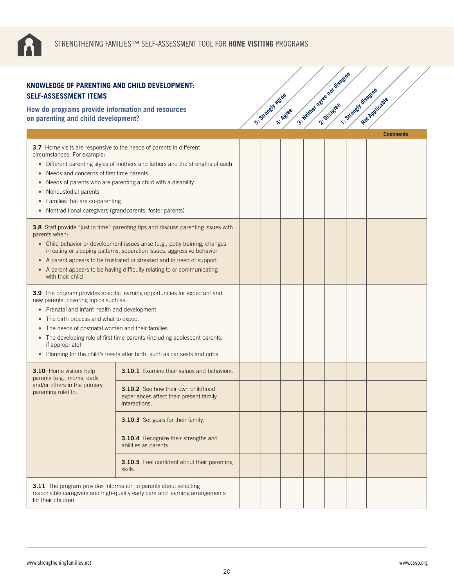

#### **How do programs provide information and resources on parenting and child development?**

| KNOWLEDGE OF PARENTING AND CHILD DEVELOPMENT:<br><b>SELF-ASSESSMENT ITEMS</b>                                                                                                                                                                                                                                                                                                                                                                             |                                                                                                                                                                                                                             |                  |          |                              |                    |                 |
|-----------------------------------------------------------------------------------------------------------------------------------------------------------------------------------------------------------------------------------------------------------------------------------------------------------------------------------------------------------------------------------------------------------------------------------------------------------|-----------------------------------------------------------------------------------------------------------------------------------------------------------------------------------------------------------------------------|------------------|----------|------------------------------|--------------------|-----------------|
| How do programs provide information and resources<br>on parenting and child development?                                                                                                                                                                                                                                                                                                                                                                  |                                                                                                                                                                                                                             | Si Standy J agee | A: Agree | 3- Neither astee not disable | 1- Standy disacres | Not Applicable  |
|                                                                                                                                                                                                                                                                                                                                                                                                                                                           |                                                                                                                                                                                                                             |                  |          |                              |                    | <b>Comments</b> |
| circumstances. For example:<br>Needs and concerns of first time parents<br>Noncustodial parents<br>Families that are co-parenting<br>Nontraditional caregivers (grandparents, foster parents)<br>$\bullet$                                                                                                                                                                                                                                                | <b>3.7</b> Home visits are responsive to the needs of parents in different<br>• Different parenting styles of mothers and fathers and the strengths of each<br>Needs of parents who are parenting a child with a disability |                  |          |                              |                    |                 |
| 3.8 Staff provide "just in time" parenting tips and discuss parenting issues with<br>parents when:<br>• Child behavior or development issues arise (e.g., potty training, changes<br>in eating or sleeping patterns, separation issues, aggressive behavior<br>• A parent appears to be frustrated or stressed and in need of support<br>• A parent appears to be having difficulty relating to or communicating<br>with their child                      |                                                                                                                                                                                                                             |                  |          |                              |                    |                 |
| 3.9 The program provides specific learning opportunities for expectant and<br>new parents, covering topics such as:<br>• Prenatal and infant health and development<br>The birth process and what to expect<br>$\bullet$<br>The needs of postnatal women and their families<br>• The developing role of first time parents (including adolescent parents,<br>if appropriate)<br>• Planning for the child's needs after birth, such as car seats and cribs |                                                                                                                                                                                                                             |                  |          |                              |                    |                 |
| 3.10 Home visitors help<br>parents (e.g., moms, dads                                                                                                                                                                                                                                                                                                                                                                                                      | <b>3.10.1</b> Examine their values and behaviors.                                                                                                                                                                           |                  |          |                              |                    |                 |
| and/or others in the primary<br>parenting role) to:                                                                                                                                                                                                                                                                                                                                                                                                       | 3.10.2 See how their own childhood<br>experiences affect their present family<br>interactions.                                                                                                                              |                  |          |                              |                    |                 |
|                                                                                                                                                                                                                                                                                                                                                                                                                                                           | 3.10.3 Set goals for their family.                                                                                                                                                                                          |                  |          |                              |                    |                 |
|                                                                                                                                                                                                                                                                                                                                                                                                                                                           | 3.10.4 Recognize their strengths and<br>abilities as parents.                                                                                                                                                               |                  |          |                              |                    |                 |
|                                                                                                                                                                                                                                                                                                                                                                                                                                                           | <b>3.10.5</b> Feel confident about their parenting<br>skills.                                                                                                                                                               |                  |          |                              |                    |                 |
| <b>3.11</b> The program provides information to parents about selecting<br>responsible caregivers and high-quality early care and learning arrangements<br>for their children.                                                                                                                                                                                                                                                                            |                                                                                                                                                                                                                             |                  |          |                              |                    |                 |

3: Neither agree nor disagree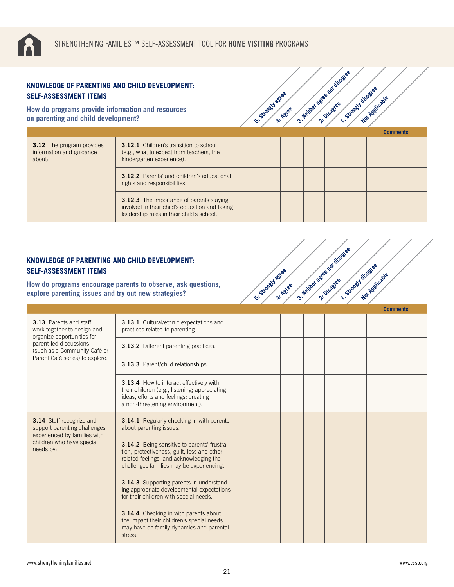

| KNOWLEDGE OF PARENTING AND CHILD DEVELOPMENT:<br><b>SELF-ASSESSMENT ITEMS</b>            |                                                                                                                                                |  |                 |          | 3: Neither agree not disass |                  |                 |
|------------------------------------------------------------------------------------------|------------------------------------------------------------------------------------------------------------------------------------------------|--|-----------------|----------|-----------------------------|------------------|-----------------|
| How do programs provide information and resources<br>on parenting and child development? |                                                                                                                                                |  | Si-Standy agree | A: Agree |                             | 1-Strongwidsagee | Not Applicable  |
|                                                                                          |                                                                                                                                                |  |                 |          |                             |                  | <b>Comments</b> |
| <b>3.12</b> The program provides<br>information and guidance<br>about:                   | <b>3.12.1</b> Children's transition to school<br>(e.g., what to expect from teachers, the<br>kindergarten experience).                         |  |                 |          |                             |                  |                 |
|                                                                                          | <b>3.12.2</b> Parents' and children's educational<br>rights and responsibilities.                                                              |  |                 |          |                             |                  |                 |
|                                                                                          | <b>3.12.3</b> The importance of parents staying<br>involved in their child's education and taking<br>leadership roles in their child's school. |  |                 |          |                             |                  |                 |

**5: Strongly agree** 

**4: Agree**

3: Neither agree nor disagree<br>2: Neither agreement is so

3: Neither agree nor disagree<br>2: Neither agreement is so

**1: Strongly disagree** 

**Not Applicable** 

## **KNOWLEDGE OF PARENTING AND CHILD DEVELOPMENT: SELF-ASSESSMENT ITEMS**

**How do programs encourage parents to observe, ask questions, explore parenting issues and try out new strategies?**

|                                                                                                                                           |                                                                                                                                                                                          |  |  |  | <b>Comments</b> |
|-------------------------------------------------------------------------------------------------------------------------------------------|------------------------------------------------------------------------------------------------------------------------------------------------------------------------------------------|--|--|--|-----------------|
| <b>3.13</b> Parents and staff<br>work together to design and<br>organize opportunities for                                                | <b>3.13.1</b> Cultural/ethnic expectations and<br>practices related to parenting.                                                                                                        |  |  |  |                 |
| parent-led discussions<br>(such as a Community Café or                                                                                    | 3.13.2 Different parenting practices.                                                                                                                                                    |  |  |  |                 |
| Parent Café series) to explore:                                                                                                           | 3.13.3 Parent/child relationships.                                                                                                                                                       |  |  |  |                 |
|                                                                                                                                           | 3.13.4 How to interact effectively with<br>their children (e.g., listening; appreciating<br>ideas, efforts and feelings; creating<br>a non-threatening environment).                     |  |  |  |                 |
| <b>3.14</b> Staff recognize and<br>support parenting challenges<br>experienced by families with<br>children who have special<br>needs by: | <b>3.14.1</b> Regularly checking in with parents<br>about parenting issues.                                                                                                              |  |  |  |                 |
|                                                                                                                                           | <b>3.14.2</b> Being sensitive to parents' frustra-<br>tion, protectiveness, guilt, loss and other<br>related feelings, and acknowledging the<br>challenges families may be experiencing. |  |  |  |                 |
|                                                                                                                                           | 3.14.3 Supporting parents in understand-<br>ing appropriate developmental expectations<br>for their children with special needs.                                                         |  |  |  |                 |
|                                                                                                                                           | <b>3.14.4</b> Checking in with parents about<br>the impact their children's special needs<br>may have on family dynamics and parental<br>stress.                                         |  |  |  |                 |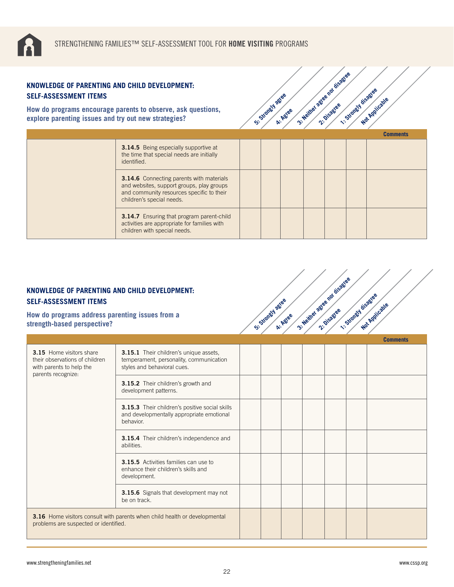

| <b>SELF-ASSESSMENT ITEMS</b>                                                                                         | KNOWLEDGE OF PARENTING AND CHILD DEVELOPMENT:                                                                                                               |  |                              |                             |                    |                 |
|----------------------------------------------------------------------------------------------------------------------|-------------------------------------------------------------------------------------------------------------------------------------------------------------|--|------------------------------|-----------------------------|--------------------|-----------------|
| How do programs encourage parents to observe, ask questions,<br>explore parenting issues and try out new strategies? |                                                                                                                                                             |  | St. Standy agree<br>A: Agree | 3: Neither astee not disase | 1-Strongy disaties | Not Applicable  |
|                                                                                                                      |                                                                                                                                                             |  |                              |                             |                    | <b>Comments</b> |
|                                                                                                                      | <b>3.14.5</b> Being especially supportive at<br>the time that special needs are initially<br>identified.<br><b>3.14.6</b> Connecting parents with materials |  |                              |                             |                    |                 |
|                                                                                                                      | and websites, support groups, play groups<br>and community resources specific to their<br>children's special needs.                                         |  |                              |                             |                    |                 |
|                                                                                                                      | <b>3.14.7</b> Ensuring that program parent-child<br>activities are appropriate for families with<br>children with special needs.                            |  |                              |                             |                    |                 |

**5: Strongly agree** 

**4: Agree** 

3: Neither agree nor disagree

3: Neither agree nor disagree<br>2: Neither agreement is so

**1: Strongly disagree** 

**Not Applicable** 

 **Comments**

# **KNOWLEDGE OF PARENTING AND CHILD DEVELOPMENT: SELF-ASSESSMENT ITEMS**

**How do programs address parenting issues from a strength-based perspective?**

| 3.15 Home visitors share<br>their observations of children<br>with parents to help the<br>parents recognize:        | 3.15.1 Their children's unique assets,<br>temperament, personality, communication<br>styles and behavioral cues. |  |  |  |  |
|---------------------------------------------------------------------------------------------------------------------|------------------------------------------------------------------------------------------------------------------|--|--|--|--|
|                                                                                                                     | <b>3.15.2</b> Their children's growth and<br>development patterns.                                               |  |  |  |  |
|                                                                                                                     | 3.15.3 Their children's positive social skills<br>and developmentally appropriate emotional<br>behavior.         |  |  |  |  |
|                                                                                                                     | <b>3.15.4</b> Their children's independence and<br>abilities.                                                    |  |  |  |  |
|                                                                                                                     | <b>3.15.5</b> Activities families can use to<br>enhance their children's skills and<br>development.              |  |  |  |  |
|                                                                                                                     | 3.15.6 Signals that development may not<br>be on track.                                                          |  |  |  |  |
| 3.16 Home visitors consult with parents when child health or developmental<br>problems are suspected or identified. |                                                                                                                  |  |  |  |  |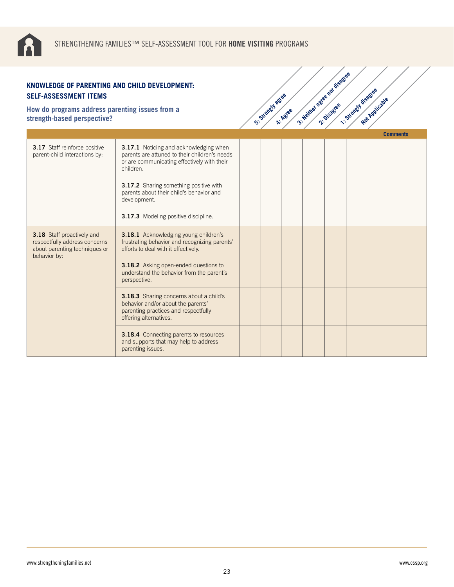

| KNOWLEDGE OF PARENTING AND CHILD DEVELOPMENT:<br><b>SELF-ASSESSMENT ITEMS</b>                                |                                                                                                                                                     |                   |          |                                 |                      |                 |
|--------------------------------------------------------------------------------------------------------------|-----------------------------------------------------------------------------------------------------------------------------------------------------|-------------------|----------|---------------------------------|----------------------|-----------------|
| How do programs address parenting issues from a<br>strength-based perspective?                               |                                                                                                                                                     | St. Strately agee | A: Agree | 3- Neilly & assessed for disass | 1. Strongst disastee | Not Applicable  |
|                                                                                                              |                                                                                                                                                     |                   |          |                                 |                      | <b>Comments</b> |
| 3.17 Staff reinforce positive<br>parent-child interactions by:                                               | 3.17.1 Noticing and acknowledging when<br>parents are attuned to their children's needs<br>or are communicating effectively with their<br>children. |                   |          |                                 |                      |                 |
|                                                                                                              | 3.17.2 Sharing something positive with<br>parents about their child's behavior and<br>development.                                                  |                   |          |                                 |                      |                 |
|                                                                                                              | 3.17.3 Modeling positive discipline.                                                                                                                |                   |          |                                 |                      |                 |
| 3.18 Staff proactively and<br>respectfully address concerns<br>about parenting techniques or<br>behavior by: | 3.18.1 Acknowledging young children's<br>frustrating behavior and recognizing parents'<br>efforts to deal with it effectively.                      |                   |          |                                 |                      |                 |
|                                                                                                              | 3.18.2 Asking open-ended questions to<br>understand the behavior from the parent's<br>perspective.                                                  |                   |          |                                 |                      |                 |
|                                                                                                              | 3.18.3 Sharing concerns about a child's<br>behavior and/or about the parents'<br>parenting practices and respectfully<br>offering alternatives.     |                   |          |                                 |                      |                 |
|                                                                                                              | 3.18.4 Connecting parents to resources<br>and supports that may help to address<br>parenting issues.                                                |                   |          |                                 |                      |                 |

3: Neither agree nor disagree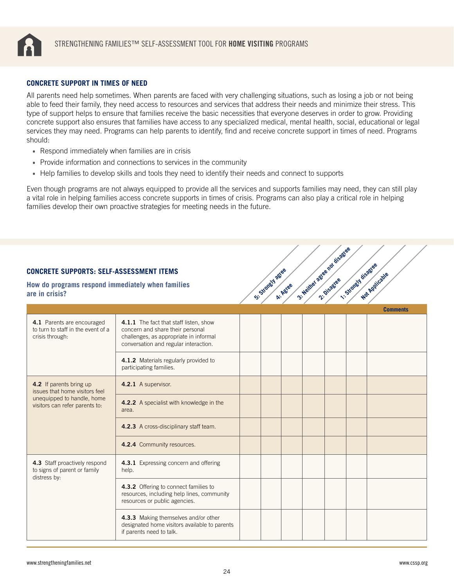<span id="page-23-0"></span>

#### **CONCRETE SUPPORT IN TIMES OF NEED**

All parents need help sometimes. When parents are faced with very challenging situations, such as losing a job or not being able to feed their family, they need access to resources and services that address their needs and minimize their stress. This type of support helps to ensure that families receive the basic necessities that everyone deserves in order to grow. Providing concrete support also ensures that families have access to any specialized medical, mental health, social, educational or legal services they may need. Programs can help parents to identify, find and receive concrete support in times of need. Programs should:

- Respond immediately when families are in crisis
- Provide information and connections to services in the community
- Help families to develop skills and tools they need to identify their needs and connect to supports

Even though programs are not always equipped to provide all the services and supports families may need, they can still play a vital role in helping families access concrete supports in times of crisis. Programs can also play a critical role in helping families develop their own proactive strategies for meeting needs in the future.

| <b>CONCRETE SUPPORTS: SELF-ASSESSMENT ITEMS</b><br>How do programs respond immediately when families<br>are in crisis?    |                                                                                                                                                                                                                                   | S'-Standy Jages | A: Agree | 3- Neither acres not disagree | 1-Strongy disagee | Not Applicable<br><b>Comments</b> |
|---------------------------------------------------------------------------------------------------------------------------|-----------------------------------------------------------------------------------------------------------------------------------------------------------------------------------------------------------------------------------|-----------------|----------|-------------------------------|-------------------|-----------------------------------|
| 4.1 Parents are encouraged<br>to turn to staff in the event of a<br>crisis through:                                       | 4.1.1 The fact that staff listen, show<br>concern and share their personal<br>challenges, as appropriate in informal<br>conversation and regular interaction.<br>4.1.2 Materials regularly provided to<br>participating families. |                 |          |                               |                   |                                   |
| 4.2 If parents bring up<br>issues that home visitors feel<br>unequipped to handle, home<br>visitors can refer parents to: | 4.2.1 A supervisor.<br>4.2.2 A specialist with knowledge in the<br>area.<br>4.2.3 A cross-disciplinary staff team.                                                                                                                |                 |          |                               |                   |                                   |
| 4.3 Staff proactively respond<br>to signs of parent or family                                                             | 4.2.4 Community resources.<br>4.3.1 Expressing concern and offering<br>help.                                                                                                                                                      |                 |          |                               |                   |                                   |
| distress by:                                                                                                              | 4.3.2 Offering to connect families to<br>resources, including help lines, community<br>resources or public agencies.<br>4.3.3 Making themselves and/or other                                                                      |                 |          |                               |                   |                                   |
|                                                                                                                           | designated home visitors available to parents<br>if parents need to talk.                                                                                                                                                         |                 |          |                               |                   |                                   |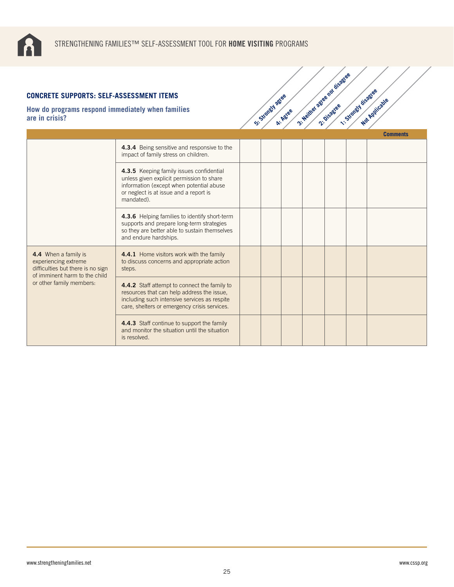

## **CONCRETE SUPPORTS: SELF-ASSESSMENT ITEMS**

|                                                                                   | ONCRETE SUPPORTS: SELF-ASSESSMENT ITEMS<br>ow do programs respond immediately when families<br>e in crisis?                                                                                |  |  | St. Strongly agree<br>A: Agree | 3- Neillys agree not disage | 1. Strongth disagree | Not Applicable  |
|-----------------------------------------------------------------------------------|--------------------------------------------------------------------------------------------------------------------------------------------------------------------------------------------|--|--|--------------------------------|-----------------------------|----------------------|-----------------|
|                                                                                   |                                                                                                                                                                                            |  |  |                                |                             |                      | <b>Comments</b> |
|                                                                                   | 4.3.4 Being sensitive and responsive to the<br>impact of family stress on children.                                                                                                        |  |  |                                |                             |                      |                 |
|                                                                                   | 4.3.5 Keeping family issues confidential<br>unless given explicit permission to share<br>information (except when potential abuse<br>or neglect is at issue and a report is<br>mandated).  |  |  |                                |                             |                      |                 |
|                                                                                   | 4.3.6 Helping families to identify short-term<br>supports and prepare long-term strategies<br>so they are better able to sustain themselves<br>and endure hardships.                       |  |  |                                |                             |                      |                 |
| 4.4 When a family is<br>experiencing extreme<br>difficulties but there is no sign | 4.4.1 Home visitors work with the family<br>to discuss concerns and appropriate action<br>steps.                                                                                           |  |  |                                |                             |                      |                 |
| of imminent harm to the child<br>or other family members:                         | 4.4.2 Staff attempt to connect the family to<br>resources that can help address the issue,<br>including such intensive services as respite<br>care, shelters or emergency crisis services. |  |  |                                |                             |                      |                 |
|                                                                                   | 4.4.3 Staff continue to support the family<br>and monitor the situation until the situation<br>is resolved.                                                                                |  |  |                                |                             |                      |                 |

3: Neither agree nor disagree<br>2: Neither agreement is so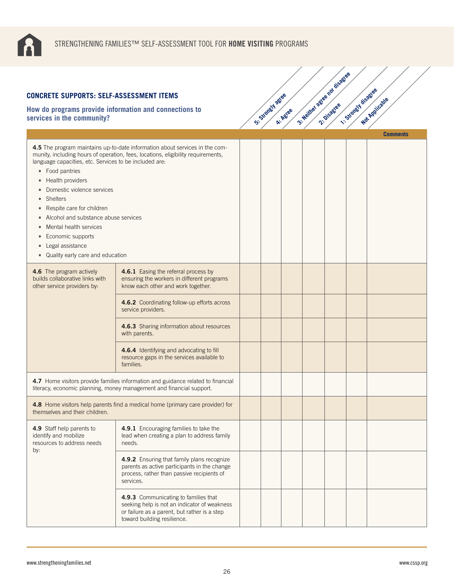

| <b>CONCRETE SUPPORTS: SELF-ASSESSMENT ITEMS</b>                                                                                                                                                                                                                                                                              |                                                                                                                                                                     |                 |          |                                |                    |                 |
|------------------------------------------------------------------------------------------------------------------------------------------------------------------------------------------------------------------------------------------------------------------------------------------------------------------------------|---------------------------------------------------------------------------------------------------------------------------------------------------------------------|-----------------|----------|--------------------------------|--------------------|-----------------|
| How do programs provide information and connections to<br>services in the community?                                                                                                                                                                                                                                         |                                                                                                                                                                     | Si Strangy ages | A: Agree | 3- Neither action not disagree | 1-Strongy disagree | Not Applicable  |
|                                                                                                                                                                                                                                                                                                                              |                                                                                                                                                                     |                 |          |                                |                    | <b>Comments</b> |
| language capacities, etc. Services to be included are:<br>• Food pantries<br>Health providers<br>Domestic violence services<br><b>Shelters</b><br>Respite care for children<br>Alcohol and substance abuse services<br>Mental health services<br>Economic supports<br>Legal assistance<br>• Quality early care and education | 4.5 The program maintains up-to-date information about services in the com-<br>munity, including hours of operation, fees, locations, eligibility requirements,     |                 |          |                                |                    |                 |
| 4.6 The program actively<br>builds collaborative links with<br>other service providers by:                                                                                                                                                                                                                                   | 4.6.1 Easing the referral process by<br>ensuring the workers in different programs<br>know each other and work together.                                            |                 |          |                                |                    |                 |
|                                                                                                                                                                                                                                                                                                                              | 4.6.2 Coordinating follow-up efforts across<br>service providers.                                                                                                   |                 |          |                                |                    |                 |
|                                                                                                                                                                                                                                                                                                                              | 4.6.3 Sharing information about resources<br>with parents.                                                                                                          |                 |          |                                |                    |                 |
|                                                                                                                                                                                                                                                                                                                              | 4.6.4 Identifying and advocating to fill<br>resource gaps in the services available to<br>families.                                                                 |                 |          |                                |                    |                 |
|                                                                                                                                                                                                                                                                                                                              | 4.7 Home visitors provide families information and guidance related to financial<br>literacy, economic planning, money management and financial support.            |                 |          |                                |                    |                 |
| themselves and their children.                                                                                                                                                                                                                                                                                               | 4.8 Home visitors help parents find a medical home (primary care provider) for                                                                                      |                 |          |                                |                    |                 |
| 4.9 Staff help parents to<br>identify and mobilize<br>resources to address needs<br>by:                                                                                                                                                                                                                                      | 4.9.1 Encouraging families to take the<br>lead when creating a plan to address family<br>needs.                                                                     |                 |          |                                |                    |                 |
|                                                                                                                                                                                                                                                                                                                              | 4.9.2 Ensuring that family plans recognize<br>parents as active participants in the change<br>process, rather than passive recipients of<br>services.               |                 |          |                                |                    |                 |
|                                                                                                                                                                                                                                                                                                                              | 4.9.3 Communicating to families that<br>seeking help is not an indicator of weakness<br>or failure as a parent, but rather is a step<br>toward building resilience. |                 |          |                                |                    |                 |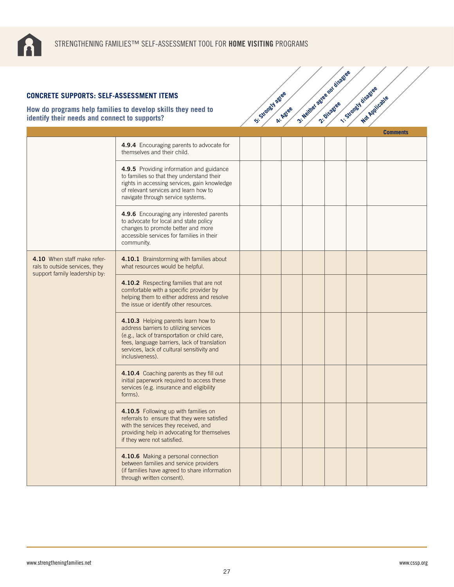

## **CONCRETE SUPPORTS: SELF-ASSESSMENT ITEMS**

| <b>CONCRETE SUPPORTS: SELF-ASSESSMENT ITEMS</b>                                                |                                                                                                                                                                                                                                                |                |          |                             |                    |                 |
|------------------------------------------------------------------------------------------------|------------------------------------------------------------------------------------------------------------------------------------------------------------------------------------------------------------------------------------------------|----------------|----------|-----------------------------|--------------------|-----------------|
| identify their needs and connect to supports?                                                  | How do programs help families to develop skills they need to                                                                                                                                                                                   | Strategy agree | A: Agree | 3- Neilher agree not disage | 1-Strongy disagree | Mar Applicable  |
|                                                                                                |                                                                                                                                                                                                                                                |                |          |                             |                    | <b>Comments</b> |
|                                                                                                | 4.9.4 Encouraging parents to advocate for<br>themselves and their child.                                                                                                                                                                       |                |          |                             |                    |                 |
|                                                                                                | 4.9.5 Providing information and guidance<br>to families so that they understand their<br>rights in accessing services, gain knowledge<br>of relevant services and learn how to<br>navigate through service systems.                            |                |          |                             |                    |                 |
|                                                                                                | 4.9.6 Encouraging any interested parents<br>to advocate for local and state policy<br>changes to promote better and more<br>accessible services for families in their<br>community.                                                            |                |          |                             |                    |                 |
| 4.10 When staff make refer-<br>rals to outside services, they<br>support family leadership by: | 4.10.1 Brainstorming with families about<br>what resources would be helpful.                                                                                                                                                                   |                |          |                             |                    |                 |
|                                                                                                | 4.10.2 Respecting families that are not<br>comfortable with a specific provider by<br>helping them to either address and resolve<br>the issue or identify other resources.                                                                     |                |          |                             |                    |                 |
|                                                                                                | 4.10.3 Helping parents learn how to<br>address barriers to utilizing services<br>(e.g., lack of transportation or child care,<br>fees, language barriers, lack of translation<br>services, lack of cultural sensitivity and<br>inclusiveness). |                |          |                             |                    |                 |
|                                                                                                | 4.10.4 Coaching parents as they fill out<br>initial paperwork required to access these<br>services (e.g. insurance and eligibility<br>forms).                                                                                                  |                |          |                             |                    |                 |
|                                                                                                | 4.10.5 Following up with families on<br>referrals to ensure that they were satisfied<br>with the services they received, and<br>providing help in advocating for themselves<br>if they were not satisfied.                                     |                |          |                             |                    |                 |
|                                                                                                | 4.10.6 Making a personal connection<br>between families and service providers<br>(if families have agreed to share information<br>through written consent).                                                                                    |                |          |                             |                    |                 |

3: Neither agree nor disagree<br>2: Neither agreement is so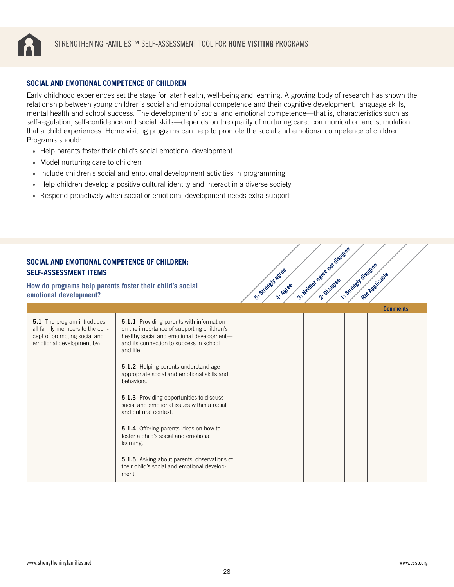<span id="page-27-0"></span>

#### **SOCIAL AND EMOTIONAL COMPETENCE OF CHILDREN**

Early childhood experiences set the stage for later health, well-being and learning. A growing body of research has shown the relationship between young children's social and emotional competence and their cognitive development, language skills, mental health and school success. The development of social and emotional competence—that is, characteristics such as self-regulation, self-confidence and social skills—depends on the quality of nurturing care, communication and stimulation that a child experiences. Home visiting programs can help to promote the social and emotional competence of children. Programs should:

- Help parents foster their child's social emotional development
- Model nurturing care to children
- Include children's social and emotional development activities in programming
- Help children develop a positive cultural identity and interact in a diverse society
- Respond proactively when social or emotional development needs extra support

#### **SOCIAL AND EMOTIONAL COMPETENCE OF CHILDREN: SELF-ASSESSMENT ITEMS**

**How do programs help parents foster their child's social emotional development?**

|                                                                                                                           |                                                                                                                                                                                                    |  |  |  | <b>Comments</b> |
|---------------------------------------------------------------------------------------------------------------------------|----------------------------------------------------------------------------------------------------------------------------------------------------------------------------------------------------|--|--|--|-----------------|
| 5.1 The program introduces<br>all family members to the con-<br>cept of promoting social and<br>emotional development by: | <b>5.1.1</b> Providing parents with information<br>on the importance of supporting children's<br>healthy social and emotional development-<br>and its connection to success in school<br>and life. |  |  |  |                 |
|                                                                                                                           | <b>5.1.2</b> Helping parents understand age-<br>appropriate social and emotional skills and<br>behaviors.                                                                                          |  |  |  |                 |
|                                                                                                                           | <b>5.1.3</b> Providing opportunities to discuss<br>social and emotional issues within a racial<br>and cultural context.                                                                            |  |  |  |                 |
|                                                                                                                           | 5.1.4 Offering parents ideas on how to<br>foster a child's social and emotional<br>learning.                                                                                                       |  |  |  |                 |
|                                                                                                                           | <b>5.1.5</b> Asking about parents' observations of<br>their child's social and emotional develop-<br>ment.                                                                                         |  |  |  |                 |

**5: Strongly agree** 

**4: Agree**

3: Neither agree nor disagree<br>2: Neither agreement is so

**1: Strongly disagree**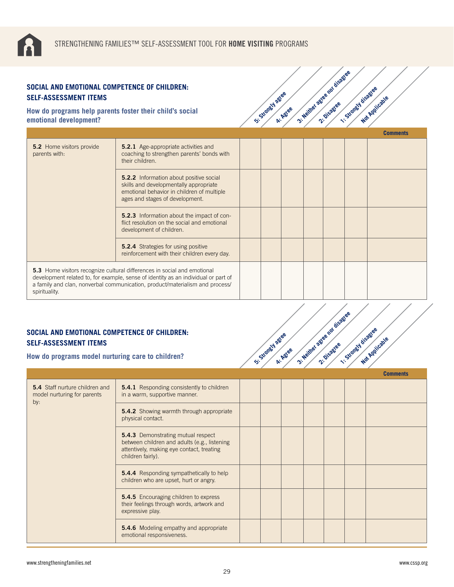

| SOCIAL AND EMOTIONAL COMPETENCE OF CHILDREN:<br><b>SELF-ASSESSMENT ITEMS</b>       |                                                                                                                                                                                                                                                       |                    |          | 3- Neither astee not disage | 1. Strongy disastee |                 |
|------------------------------------------------------------------------------------|-------------------------------------------------------------------------------------------------------------------------------------------------------------------------------------------------------------------------------------------------------|--------------------|----------|-----------------------------|---------------------|-----------------|
| How do programs help parents foster their child's social<br>emotional development? |                                                                                                                                                                                                                                                       | St. Strately agree | A: Agree |                             |                     | Not Applicable  |
|                                                                                    |                                                                                                                                                                                                                                                       |                    |          |                             |                     | <b>Comments</b> |
| <b>5.2</b> Home visitors provide<br>parents with:                                  | <b>5.2.1</b> Age-appropriate activities and<br>coaching to strengthen parents' bonds with<br>their children.                                                                                                                                          |                    |          |                             |                     |                 |
|                                                                                    | <b>5.2.2</b> Information about positive social<br>skills and developmentally appropriate<br>emotional behavior in children of multiple<br>ages and stages of development.                                                                             |                    |          |                             |                     |                 |
|                                                                                    | 5.2.3 Information about the impact of con-<br>flict resolution on the social and emotional<br>development of children.                                                                                                                                |                    |          |                             |                     |                 |
|                                                                                    | <b>5.2.4</b> Strategies for using positive<br>reinforcement with their children every day.                                                                                                                                                            |                    |          |                             |                     |                 |
| spirituality.                                                                      | <b>5.3</b> Home visitors recognize cultural differences in social and emotional<br>development related to, for example, sense of identity as an individual or part of<br>a family and clan, nonverbal communication, product/materialism and process/ |                    |          |                             |                     |                 |

3: Neither agree nor disagree<br>2: Neither agreement is so

## **SOCIAL AND EMOTIONAL COMPETENCE OF CHILDREN: SELF-ASSESSMENT ITEMS**

**How do programs model nurturing care to children?**

|                                                                      |                                                                                                                                                      |  |  |  | <b>Comments</b> |
|----------------------------------------------------------------------|------------------------------------------------------------------------------------------------------------------------------------------------------|--|--|--|-----------------|
| 5.4 Staff nurture children and<br>model nurturing for parents<br>by: | <b>5.4.1</b> Responding consistently to children<br>in a warm, supportive manner.                                                                    |  |  |  |                 |
|                                                                      | <b>5.4.2</b> Showing warmth through appropriate<br>physical contact.                                                                                 |  |  |  |                 |
|                                                                      | 5.4.3 Demonstrating mutual respect<br>between children and adults (e.g., listening<br>attentively, making eye contact, treating<br>children fairly). |  |  |  |                 |
|                                                                      | <b>5.4.4</b> Responding sympathetically to help<br>children who are upset, hurt or angry.                                                            |  |  |  |                 |
|                                                                      | <b>5.4.5</b> Encouraging children to express<br>their feelings through words, artwork and<br>expressive play.                                        |  |  |  |                 |
|                                                                      | <b>5.4.6</b> Modeling empathy and appropriate<br>emotional responsiveness.                                                                           |  |  |  |                 |

**5: Strongly agree** 

A: Agree

3: Neither agree nor disagree<br>2: Neither agreement is so

**1: Strongly disagree**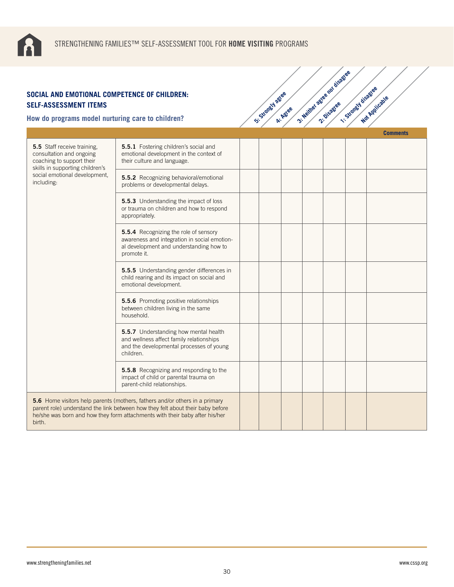

| SOCIAL AND EMOTIONAL COMPETENCE OF CHILDREN:<br><b>SELF-ASSESSMENT ITEMS</b><br>How do programs model nurturing care to children? |                                                                                                                                                                                                                                              | Si-Strangy Agree | A: Agree | 3- Neither astee not disase | 1-Strongy disagree | Not Applicable  |
|-----------------------------------------------------------------------------------------------------------------------------------|----------------------------------------------------------------------------------------------------------------------------------------------------------------------------------------------------------------------------------------------|------------------|----------|-----------------------------|--------------------|-----------------|
|                                                                                                                                   |                                                                                                                                                                                                                                              |                  |          |                             |                    | <b>Comments</b> |
| <b>5.5</b> Staff receive training.<br>consultation and ongoing<br>coaching to support their<br>skills in supporting children's    | 5.5.1 Fostering children's social and<br>emotional development in the context of<br>their culture and language.                                                                                                                              |                  |          |                             |                    |                 |
| social emotional development,<br>including:                                                                                       | 5.5.2 Recognizing behavioral/emotional<br>problems or developmental delays.                                                                                                                                                                  |                  |          |                             |                    |                 |
|                                                                                                                                   | 5.5.3 Understanding the impact of loss<br>or trauma on children and how to respond<br>appropriately.                                                                                                                                         |                  |          |                             |                    |                 |
|                                                                                                                                   | 5.5.4 Recognizing the role of sensory<br>awareness and integration in social emotion-<br>al development and understanding how to<br>promote it.                                                                                              |                  |          |                             |                    |                 |
|                                                                                                                                   | 5.5.5 Understanding gender differences in<br>child rearing and its impact on social and<br>emotional development.                                                                                                                            |                  |          |                             |                    |                 |
|                                                                                                                                   | 5.5.6 Promoting positive relationships<br>between children living in the same<br>household.                                                                                                                                                  |                  |          |                             |                    |                 |
|                                                                                                                                   | 5.5.7 Understanding how mental health<br>and wellness affect family relationships<br>and the developmental processes of young<br>children.                                                                                                   |                  |          |                             |                    |                 |
|                                                                                                                                   | 5.5.8 Recognizing and responding to the<br>impact of child or parental trauma on<br>parent-child relationships.                                                                                                                              |                  |          |                             |                    |                 |
| birth.                                                                                                                            | 5.6 Home visitors help parents (mothers, fathers and/or others in a primary<br>parent role) understand the link between how they felt about their baby before<br>he/she was born and how they form attachments with their baby after his/her |                  |          |                             |                    |                 |

3: Neither agree nor disagree<br>2: Neither agreement is so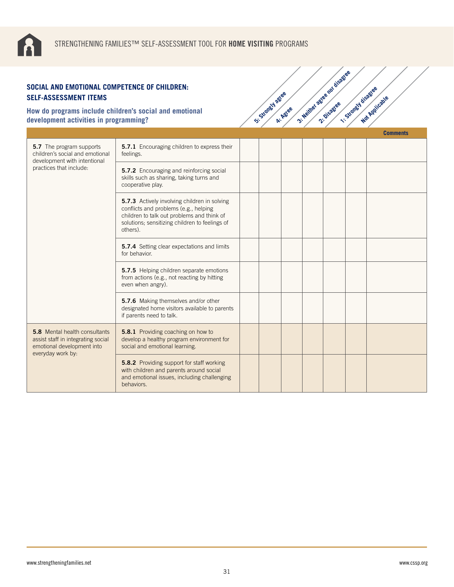

**How do programs include children's social and emotional development activities in programming?**

|                                                                                                                               |                                                                                                                                                                                                   |  |  |  | <b>Comments</b> |
|-------------------------------------------------------------------------------------------------------------------------------|---------------------------------------------------------------------------------------------------------------------------------------------------------------------------------------------------|--|--|--|-----------------|
| <b>5.7</b> The program supports<br>children's social and emotional<br>development with intentional                            | <b>5.7.1</b> Encouraging children to express their<br>feelings.                                                                                                                                   |  |  |  |                 |
| practices that include:                                                                                                       | <b>5.7.2</b> Encouraging and reinforcing social<br>skills such as sharing, taking turns and<br>cooperative play.                                                                                  |  |  |  |                 |
|                                                                                                                               | 5.7.3 Actively involving children in solving<br>conflicts and problems (e.g., helping<br>children to talk out problems and think of<br>solutions; sensitizing children to feelings of<br>others). |  |  |  |                 |
|                                                                                                                               | 5.7.4 Setting clear expectations and limits<br>for behavior.                                                                                                                                      |  |  |  |                 |
|                                                                                                                               | 5.7.5 Helping children separate emotions<br>from actions (e.g., not reacting by hitting<br>even when angry).                                                                                      |  |  |  |                 |
|                                                                                                                               | 5.7.6 Making themselves and/or other<br>designated home visitors available to parents<br>if parents need to talk.                                                                                 |  |  |  |                 |
| <b>5.8</b> Mental health consultants<br>assist staff in integrating social<br>emotional development into<br>everyday work by: | 5.8.1 Providing coaching on how to<br>develop a healthy program environment for<br>social and emotional learning.                                                                                 |  |  |  |                 |
|                                                                                                                               | 5.8.2 Providing support for staff working<br>with children and parents around social<br>and emotional issues, including challenging<br>behaviors.                                                 |  |  |  |                 |

**5: Strongly agree** 

**4: Agree** 

3: Neither agree nor disagree<br>2: Neither agreement is so

**1: Strongly disagree**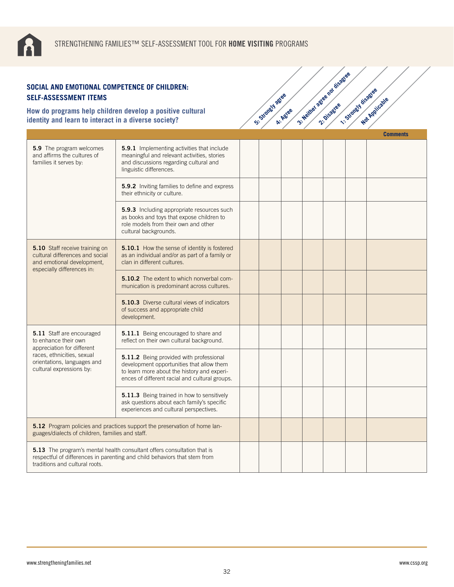| SOCIAL AND EMOTIONAL COMPETENCE OF CHILDREN:<br><b>SELF-ASSESSMENT ITEMS</b>                                                                                                                  |                                                                                                                                                                                       |                |          | 3- Neilhel astee not disase |                      |                 |
|-----------------------------------------------------------------------------------------------------------------------------------------------------------------------------------------------|---------------------------------------------------------------------------------------------------------------------------------------------------------------------------------------|----------------|----------|-----------------------------|----------------------|-----------------|
| identity and learn to interact in a diverse society?                                                                                                                                          | How do programs help children develop a positive cultural                                                                                                                             | Si Standy ages | A: Agree |                             | 1. Strately disastee | Not Applicable  |
|                                                                                                                                                                                               |                                                                                                                                                                                       |                |          |                             |                      | <b>Comments</b> |
| 5.9 The program welcomes<br>and affirms the cultures of<br>families it serves by:                                                                                                             | 5.9.1 Implementing activities that include<br>meaningful and relevant activities, stories<br>and discussions regarding cultural and<br>linguistic differences.                        |                |          |                             |                      |                 |
|                                                                                                                                                                                               | 5.9.2 Inviting families to define and express<br>their ethnicity or culture.                                                                                                          |                |          |                             |                      |                 |
|                                                                                                                                                                                               | 5.9.3 Including appropriate resources such<br>as books and toys that expose children to<br>role models from their own and other<br>cultural backgrounds.                              |                |          |                             |                      |                 |
| <b>5.10</b> Staff receive training on<br>cultural differences and social<br>and emotional development,<br>especially differences in:                                                          | <b>5.10.1</b> How the sense of identity is fostered<br>as an individual and/or as part of a family or<br>clan in different cultures.                                                  |                |          |                             |                      |                 |
|                                                                                                                                                                                               | <b>5.10.2</b> The extent to which nonverbal com-<br>munication is predominant across cultures.                                                                                        |                |          |                             |                      |                 |
|                                                                                                                                                                                               | <b>5.10.3</b> Diverse cultural views of indicators<br>of success and appropriate child<br>development.                                                                                |                |          |                             |                      |                 |
| 5.11 Staff are encouraged<br>to enhance their own                                                                                                                                             | 5.11.1 Being encouraged to share and<br>reflect on their own cultural background.                                                                                                     |                |          |                             |                      |                 |
| appreciation for different<br>races, ethnicities, sexual<br>orientations, languages and<br>cultural expressions by:                                                                           | 5.11.2 Being provided with professional<br>development opportunities that allow them<br>to learn more about the history and experi-<br>ences of different racial and cultural groups. |                |          |                             |                      |                 |
|                                                                                                                                                                                               | 5.11.3 Being trained in how to sensitively<br>ask questions about each family's specific<br>experiences and cultural perspectives.                                                    |                |          |                             |                      |                 |
| 5.12 Program policies and practices support the preservation of home lan-<br>guages/dialects of children, families and staff.                                                                 |                                                                                                                                                                                       |                |          |                             |                      |                 |
| <b>5.13</b> The program's mental health consultant offers consultation that is<br>respectful of differences in parenting and child behaviors that stem from<br>traditions and cultural roots. |                                                                                                                                                                                       |                |          |                             |                      |                 |

3: Neither agree nor disagree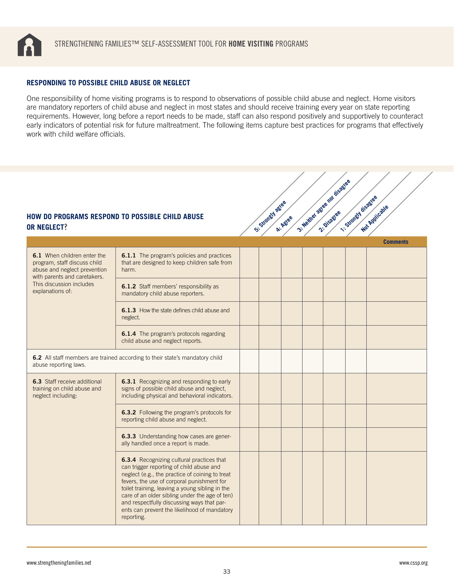<span id="page-32-0"></span>

#### **RESPONDING TO POSSIBLE CHILD ABUSE OR NEGLECT**

One responsibility of home visiting programs is to respond to observations of possible child abuse and neglect. Home visitors are mandatory reporters of child abuse and neglect in most states and should receive training every year on state reporting requirements. However, long before a report needs to be made, staff can also respond positively and supportively to counteract early indicators of potential risk for future maltreatment. The following items capture best practices for programs that effectively work with child welfare officials.

3: Neither agree nor disagree<br>2: Neither agreement is so

## **HOW DO PROGRAMS RESPOND TO POSSIBLE CHILD ABUSE OR NEGLECT**?

| <b>HOW DO PROGRAMS RESPOND TO POSSIBLE CHILD ABUSE</b><br><b>OR NEGLECT?</b>                                                                                                |                                                                                                                                                                                                                                                                                                                                                                                                         | S .: Standy J agree | A: Agree | 3- Neilhel agree not disage | 1. Strangy disagree | Not Applicable  |
|-----------------------------------------------------------------------------------------------------------------------------------------------------------------------------|---------------------------------------------------------------------------------------------------------------------------------------------------------------------------------------------------------------------------------------------------------------------------------------------------------------------------------------------------------------------------------------------------------|---------------------|----------|-----------------------------|---------------------|-----------------|
|                                                                                                                                                                             |                                                                                                                                                                                                                                                                                                                                                                                                         |                     |          |                             |                     | <b>Comments</b> |
| 6.1 When children enter the<br>program, staff discuss child<br>abuse and neglect prevention<br>with parents and caretakers.<br>This discussion includes<br>explanations of: | <b>6.1.1</b> The program's policies and practices<br>that are designed to keep children safe from<br>harm.                                                                                                                                                                                                                                                                                              |                     |          |                             |                     |                 |
|                                                                                                                                                                             | 6.1.2 Staff members' responsibility as<br>mandatory child abuse reporters.                                                                                                                                                                                                                                                                                                                              |                     |          |                             |                     |                 |
|                                                                                                                                                                             | <b>6.1.3</b> How the state defines child abuse and<br>neglect.                                                                                                                                                                                                                                                                                                                                          |                     |          |                             |                     |                 |
|                                                                                                                                                                             | 6.1.4 The program's protocols regarding<br>child abuse and neglect reports.                                                                                                                                                                                                                                                                                                                             |                     |          |                             |                     |                 |
| 6.2 All staff members are trained according to their state's mandatory child<br>abuse reporting laws.                                                                       |                                                                                                                                                                                                                                                                                                                                                                                                         |                     |          |                             |                     |                 |
| <b>6.3</b> Staff receive additional<br>training on child abuse and<br>neglect including:                                                                                    | <b>6.3.1</b> Recognizing and responding to early<br>signs of possible child abuse and neglect,<br>including physical and behavioral indicators.                                                                                                                                                                                                                                                         |                     |          |                             |                     |                 |
|                                                                                                                                                                             | 6.3.2 Following the program's protocols for<br>reporting child abuse and neglect.                                                                                                                                                                                                                                                                                                                       |                     |          |                             |                     |                 |
|                                                                                                                                                                             | 6.3.3 Understanding how cases are gener-<br>ally handled once a report is made.                                                                                                                                                                                                                                                                                                                         |                     |          |                             |                     |                 |
|                                                                                                                                                                             | 6.3.4 Recognizing cultural practices that<br>can trigger reporting of child abuse and<br>neglect (e.g., the practice of coining to treat<br>fevers, the use of corporal punishment for<br>toilet training, leaving a young sibling in the<br>care of an older sibling under the age of ten)<br>and respectfully discussing ways that par-<br>ents can prevent the likelihood of mandatory<br>reporting. |                     |          |                             |                     |                 |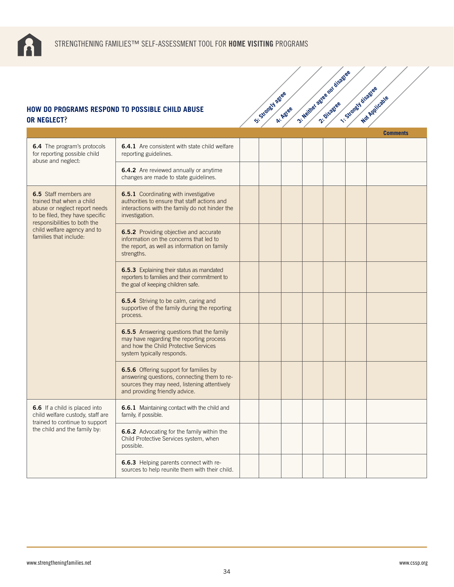

# **HOW DO PROGRAMS RESPOND TO POSSIBLE CHILD ABUSE OR NEGLECT**?

| OR NEGLECT?                                                                                                                                                                                                            | <b>10W DO PROGRAMS RESPOND TO POSSIBLE CHILD ABUSE</b>                                                                                                                  | Si-Standy agree | A: Agree | 3- Neither agree not disage | · Strongy disastee | Not Applicable  |
|------------------------------------------------------------------------------------------------------------------------------------------------------------------------------------------------------------------------|-------------------------------------------------------------------------------------------------------------------------------------------------------------------------|-----------------|----------|-----------------------------|--------------------|-----------------|
|                                                                                                                                                                                                                        |                                                                                                                                                                         |                 |          |                             |                    | <b>Comments</b> |
| 6.4 The program's protocols<br>for reporting possible child<br>abuse and neglect:                                                                                                                                      | 6.4.1 Are consistent with state child welfare<br>reporting guidelines.                                                                                                  |                 |          |                             |                    |                 |
|                                                                                                                                                                                                                        | 6.4.2 Are reviewed annually or anytime<br>changes are made to state guidelines.                                                                                         |                 |          |                             |                    |                 |
| <b>6.5</b> Staff members are<br>trained that when a child<br>abuse or neglect report needs<br>to be filed, they have specific<br>responsibilities to both the<br>child welfare agency and to<br>families that include: | 6.5.1 Coordinating with investigative<br>authorities to ensure that staff actions and<br>interactions with the family do not hinder the<br>investigation.               |                 |          |                             |                    |                 |
|                                                                                                                                                                                                                        | 6.5.2 Providing objective and accurate<br>information on the concerns that led to<br>the report, as well as information on family<br>strengths.                         |                 |          |                             |                    |                 |
|                                                                                                                                                                                                                        | 6.5.3 Explaining their status as mandated<br>reporters to families and their commitment to<br>the goal of keeping children safe.                                        |                 |          |                             |                    |                 |
|                                                                                                                                                                                                                        | 6.5.4 Striving to be calm, caring and<br>supportive of the family during the reporting<br>process.                                                                      |                 |          |                             |                    |                 |
|                                                                                                                                                                                                                        | 6.5.5 Answering questions that the family<br>may have regarding the reporting process<br>and how the Child Protective Services<br>system typically responds.            |                 |          |                             |                    |                 |
|                                                                                                                                                                                                                        | 6.5.6 Offering support for families by<br>answering questions, connecting them to re-<br>sources they may need, listening attentively<br>and providing friendly advice. |                 |          |                             |                    |                 |
| <b>6.6</b> If a child is placed into<br>child welfare custody, staff are<br>trained to continue to support<br>the child and the family by:                                                                             | <b>6.6.1</b> Maintaining contact with the child and<br>family, if possible.                                                                                             |                 |          |                             |                    |                 |
|                                                                                                                                                                                                                        | 6.6.2 Advocating for the family within the<br>Child Protective Services system, when<br>possible.                                                                       |                 |          |                             |                    |                 |
|                                                                                                                                                                                                                        | 6.6.3 Helping parents connect with re-<br>sources to help reunite them with their child.                                                                                |                 |          |                             |                    |                 |

3: Neither agree nor disagree<br>2: Neither agreement is so